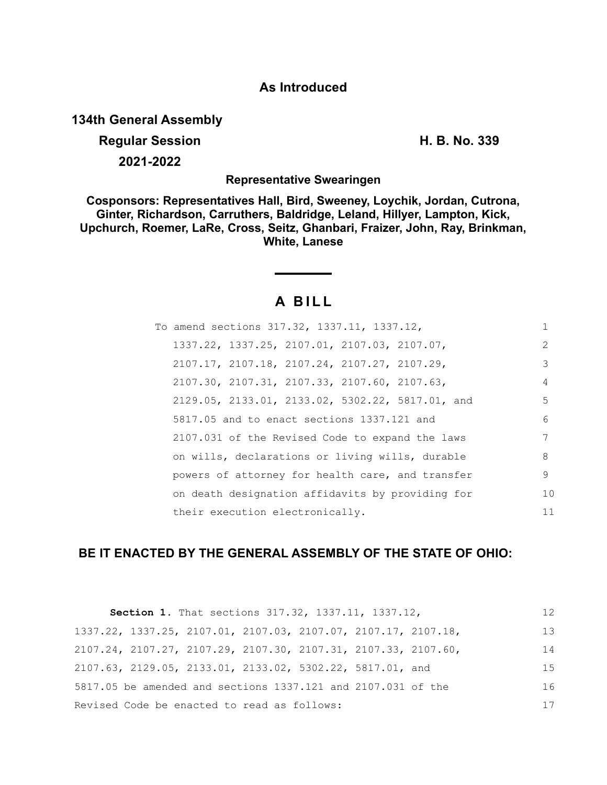# **As Introduced**

**134th General Assembly**

**Regular Session H. B. No. 339 2021-2022**

**Representative Swearingen**

**Cosponsors: Representatives Hall, Bird, Sweeney, Loychik, Jordan, Cutrona, Ginter, Richardson, Carruthers, Baldridge, Leland, Hillyer, Lampton, Kick, Upchurch, Roemer, LaRe, Cross, Seitz, Ghanbari, Fraizer, John, Ray, Brinkman, White, Lanese**

# **A B I L L**

| To amend sections 317.32, 1337.11, 1337.12,                 |               |
|-------------------------------------------------------------|---------------|
| 1337.22, 1337.25, 2107.01, 2107.03, 2107.07,                | $\mathcal{L}$ |
| 2107.17, 2107.18, 2107.24, 2107.27, 2107.29,                | 3             |
| $2107.30$ , $2107.31$ , $2107.33$ , $2107.60$ , $2107.63$ , | 4             |
| 2129.05, 2133.01, 2133.02, 5302.22, 5817.01, and            | 5             |
| 5817.05 and to enact sections 1337.121 and                  | 6             |
| 2107.031 of the Revised Code to expand the laws             | 7             |
| on wills, declarations or living wills, durable             | 8             |
| powers of attorney for health care, and transfer            | 9             |
| on death designation affidavits by providing for            | 10            |
| their execution electronically.                             | 11            |

# **BE IT ENACTED BY THE GENERAL ASSEMBLY OF THE STATE OF OHIO:**

|                                             | Section 1. That sections 317.32, 1337.11, 1337.12,             | 12 |
|---------------------------------------------|----------------------------------------------------------------|----|
|                                             | 1337.22, 1337.25, 2107.01, 2107.03, 2107.07, 2107.17, 2107.18, | 13 |
|                                             | 2107.24, 2107.27, 2107.29, 2107.30, 2107.31, 2107.33, 2107.60, | 14 |
|                                             | 2107.63, 2129.05, 2133.01, 2133.02, 5302.22, 5817.01, and      | 15 |
|                                             | 5817.05 be amended and sections 1337.121 and 2107.031 of the   | 16 |
| Revised Code be enacted to read as follows: |                                                                | 17 |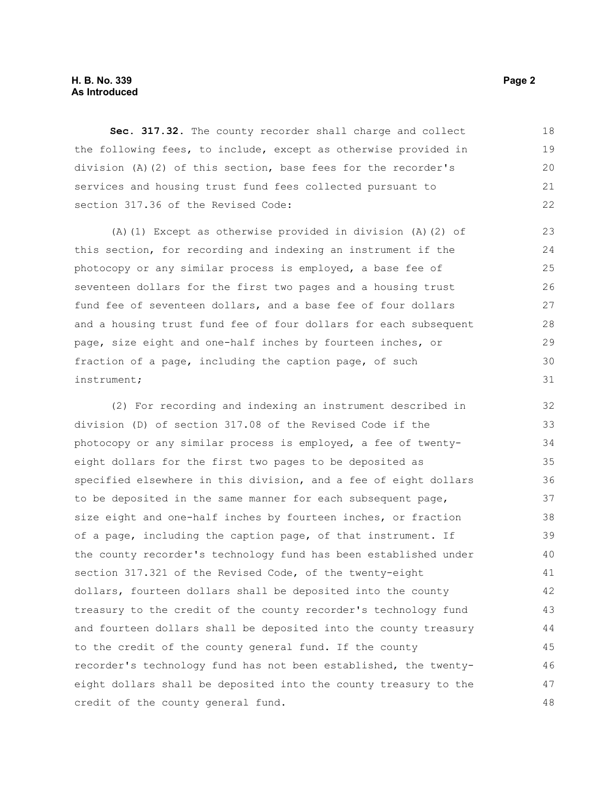### **H. B. No. 339 Page 2 As Introduced**

**Sec. 317.32.** The county recorder shall charge and collect the following fees, to include, except as otherwise provided in division (A)(2) of this section, base fees for the recorder's services and housing trust fund fees collected pursuant to section 317.36 of the Revised Code: 18 19  $20$ 21 22

(A)(1) Except as otherwise provided in division (A)(2) of this section, for recording and indexing an instrument if the photocopy or any similar process is employed, a base fee of seventeen dollars for the first two pages and a housing trust fund fee of seventeen dollars, and a base fee of four dollars and a housing trust fund fee of four dollars for each subsequent page, size eight and one-half inches by fourteen inches, or fraction of a page, including the caption page, of such instrument;

(2) For recording and indexing an instrument described in division (D) of section 317.08 of the Revised Code if the photocopy or any similar process is employed, a fee of twentyeight dollars for the first two pages to be deposited as specified elsewhere in this division, and a fee of eight dollars to be deposited in the same manner for each subsequent page, size eight and one-half inches by fourteen inches, or fraction of a page, including the caption page, of that instrument. If the county recorder's technology fund has been established under section 317.321 of the Revised Code, of the twenty-eight dollars, fourteen dollars shall be deposited into the county treasury to the credit of the county recorder's technology fund and fourteen dollars shall be deposited into the county treasury to the credit of the county general fund. If the county recorder's technology fund has not been established, the twentyeight dollars shall be deposited into the county treasury to the credit of the county general fund. 32 33 34 35 36 37 38 39 40 41 42 43 44 45 46 47 48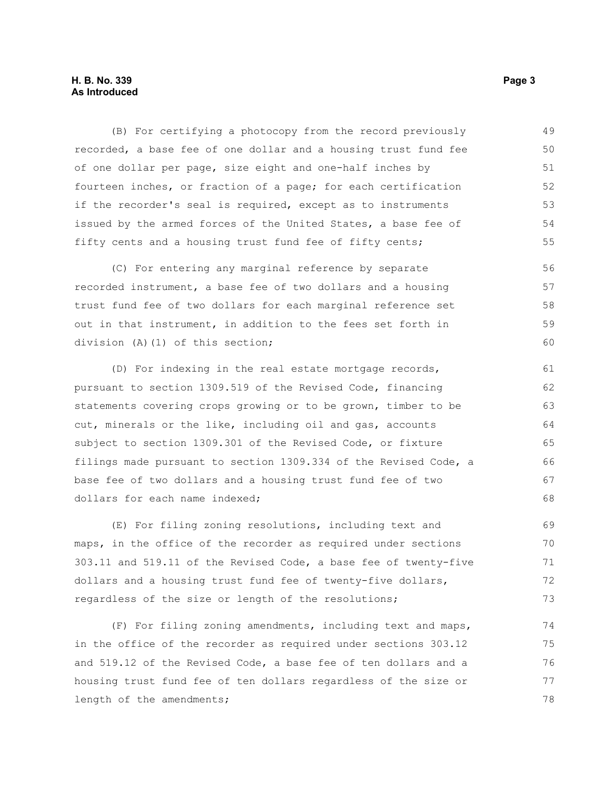### **H. B. No. 339** Page 3 **As Introduced**

(B) For certifying a photocopy from the record previously recorded, a base fee of one dollar and a housing trust fund fee of one dollar per page, size eight and one-half inches by fourteen inches, or fraction of a page; for each certification if the recorder's seal is required, except as to instruments issued by the armed forces of the United States, a base fee of fifty cents and a housing trust fund fee of fifty cents; 49 50 51 52 53 54 55

(C) For entering any marginal reference by separate recorded instrument, a base fee of two dollars and a housing trust fund fee of two dollars for each marginal reference set out in that instrument, in addition to the fees set forth in division (A)(1) of this section;

(D) For indexing in the real estate mortgage records, pursuant to section 1309.519 of the Revised Code, financing statements covering crops growing or to be grown, timber to be cut, minerals or the like, including oil and gas, accounts subject to section 1309.301 of the Revised Code, or fixture filings made pursuant to section 1309.334 of the Revised Code, a base fee of two dollars and a housing trust fund fee of two dollars for each name indexed;

(E) For filing zoning resolutions, including text and maps, in the office of the recorder as required under sections 303.11 and 519.11 of the Revised Code, a base fee of twenty-five dollars and a housing trust fund fee of twenty-five dollars, regardless of the size or length of the resolutions; 69 70 71 72 73

(F) For filing zoning amendments, including text and maps, in the office of the recorder as required under sections 303.12 and 519.12 of the Revised Code, a base fee of ten dollars and a housing trust fund fee of ten dollars regardless of the size or length of the amendments; 74 75 76 77 78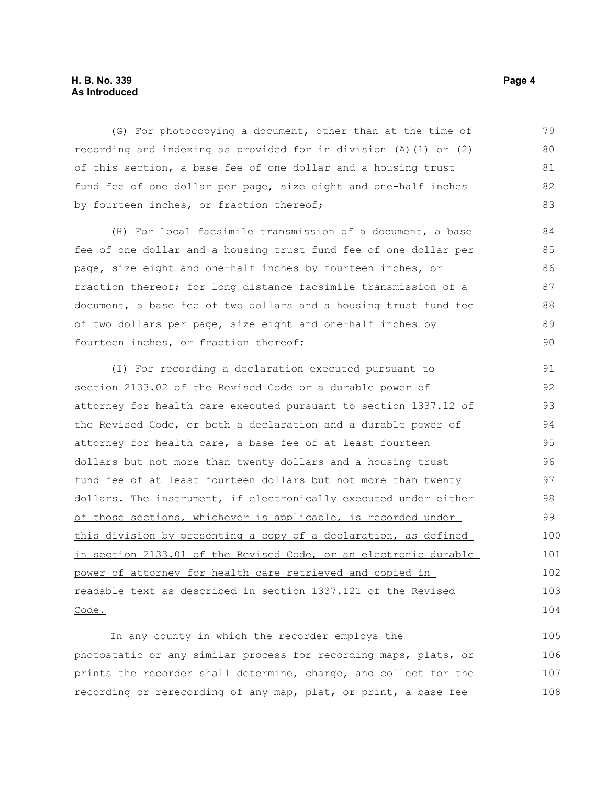### **H. B. No. 339 Page 4 As Introduced**

(G) For photocopying a document, other than at the time of recording and indexing as provided for in division (A)(1) or (2) of this section, a base fee of one dollar and a housing trust fund fee of one dollar per page, size eight and one-half inches by fourteen inches, or fraction thereof; 79 80 81 82 83

(H) For local facsimile transmission of a document, a base fee of one dollar and a housing trust fund fee of one dollar per page, size eight and one-half inches by fourteen inches, or fraction thereof; for long distance facsimile transmission of a document, a base fee of two dollars and a housing trust fund fee of two dollars per page, size eight and one-half inches by fourteen inches, or fraction thereof;

(I) For recording a declaration executed pursuant to section 2133.02 of the Revised Code or a durable power of attorney for health care executed pursuant to section 1337.12 of the Revised Code, or both a declaration and a durable power of attorney for health care, a base fee of at least fourteen dollars but not more than twenty dollars and a housing trust fund fee of at least fourteen dollars but not more than twenty dollars. The instrument, if electronically executed under either of those sections, whichever is applicable, is recorded under this division by presenting a copy of a declaration, as defined in section 2133.01 of the Revised Code, or an electronic durable power of attorney for health care retrieved and copied in readable text as described in section 1337.121 of the Revised Code. 91 92 93 94 95 96 97 98 99 100 101 102 103 104

In any county in which the recorder employs the photostatic or any similar process for recording maps, plats, or prints the recorder shall determine, charge, and collect for the recording or rerecording of any map, plat, or print, a base fee 105 106 107 108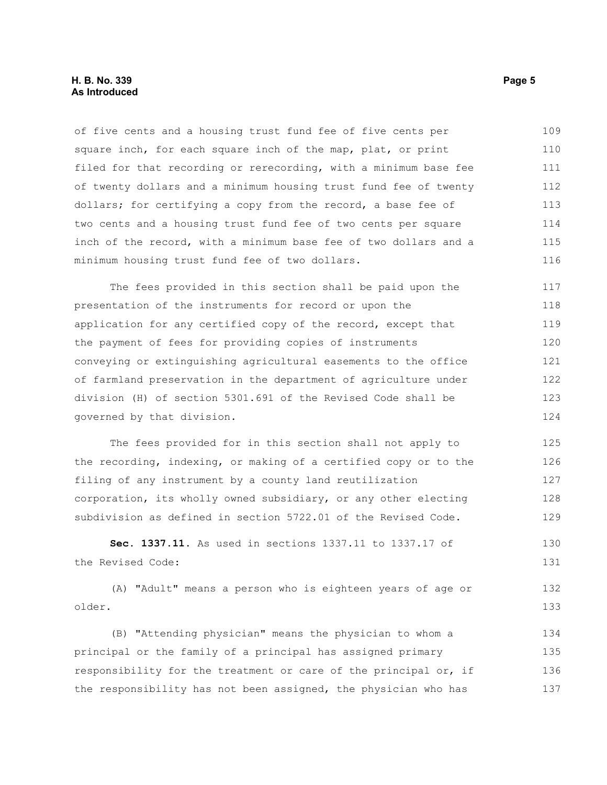### **H. B. No. 339 Page 5 As Introduced**

of five cents and a housing trust fund fee of five cents per square inch, for each square inch of the map, plat, or print filed for that recording or rerecording, with a minimum base fee of twenty dollars and a minimum housing trust fund fee of twenty dollars; for certifying a copy from the record, a base fee of two cents and a housing trust fund fee of two cents per square inch of the record, with a minimum base fee of two dollars and a minimum housing trust fund fee of two dollars. 109 110 111 112 113 114 115 116

The fees provided in this section shall be paid upon the presentation of the instruments for record or upon the application for any certified copy of the record, except that the payment of fees for providing copies of instruments conveying or extinguishing agricultural easements to the office of farmland preservation in the department of agriculture under division (H) of section 5301.691 of the Revised Code shall be governed by that division. 117 118 119 120 121 122 123 124

The fees provided for in this section shall not apply to the recording, indexing, or making of a certified copy or to the filing of any instrument by a county land reutilization corporation, its wholly owned subsidiary, or any other electing subdivision as defined in section 5722.01 of the Revised Code. 125 126 127 128 129

**Sec. 1337.11.** As used in sections 1337.11 to 1337.17 of the Revised Code: 130 131

(A) "Adult" means a person who is eighteen years of age or older. 132 133

(B) "Attending physician" means the physician to whom a principal or the family of a principal has assigned primary responsibility for the treatment or care of the principal or, if the responsibility has not been assigned, the physician who has 134 135 136 137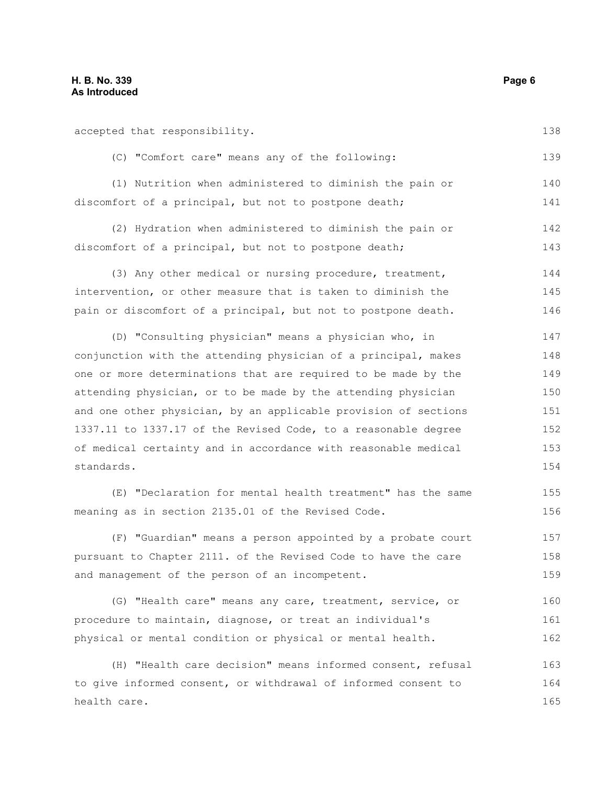accepted that responsibility. (C) "Comfort care" means any of the following: (1) Nutrition when administered to diminish the pain or discomfort of a principal, but not to postpone death; (2) Hydration when administered to diminish the pain or discomfort of a principal, but not to postpone death; 138 139 140 141 142 143

(3) Any other medical or nursing procedure, treatment, intervention, or other measure that is taken to diminish the pain or discomfort of a principal, but not to postpone death. 144 145 146

(D) "Consulting physician" means a physician who, in conjunction with the attending physician of a principal, makes one or more determinations that are required to be made by the attending physician, or to be made by the attending physician and one other physician, by an applicable provision of sections 1337.11 to 1337.17 of the Revised Code, to a reasonable degree of medical certainty and in accordance with reasonable medical standards. 147 148 149 150 151 152 153 154

(E) "Declaration for mental health treatment" has the same meaning as in section 2135.01 of the Revised Code.

(F) "Guardian" means a person appointed by a probate court pursuant to Chapter 2111. of the Revised Code to have the care and management of the person of an incompetent. 157 158 159

(G) "Health care" means any care, treatment, service, or procedure to maintain, diagnose, or treat an individual's physical or mental condition or physical or mental health. 160 161 162

(H) "Health care decision" means informed consent, refusal to give informed consent, or withdrawal of informed consent to health care. 163 164 165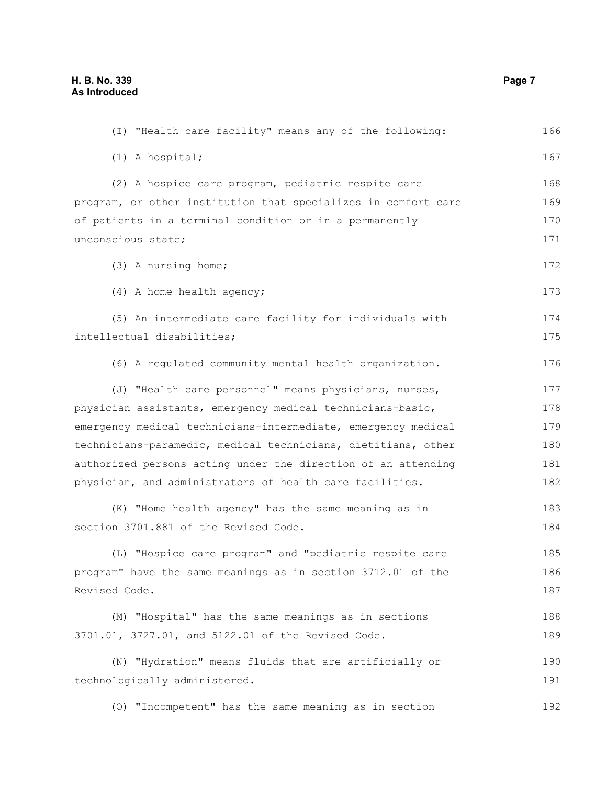(I) "Health care facility" means any of the following: (1) A hospital; (2) A hospice care program, pediatric respite care program, or other institution that specializes in comfort care of patients in a terminal condition or in a permanently unconscious state; (3) A nursing home; (4) A home health agency; (5) An intermediate care facility for individuals with intellectual disabilities; (6) A regulated community mental health organization. (J) "Health care personnel" means physicians, nurses, physician assistants, emergency medical technicians-basic, emergency medical technicians-intermediate, emergency medical technicians-paramedic, medical technicians, dietitians, other authorized persons acting under the direction of an attending physician, and administrators of health care facilities. (K) "Home health agency" has the same meaning as in section 3701.881 of the Revised Code. (L) "Hospice care program" and "pediatric respite care program" have the same meanings as in section 3712.01 of the Revised Code. (M) "Hospital" has the same meanings as in sections 3701.01, 3727.01, and 5122.01 of the Revised Code. (N) "Hydration" means fluids that are artificially or technologically administered. (O) "Incompetent" has the same meaning as in section 166 167 168 169 170 171 172 173 174 175 176 177 178 179 180 181 182 183 184 185 186 187 188 189 190 191 192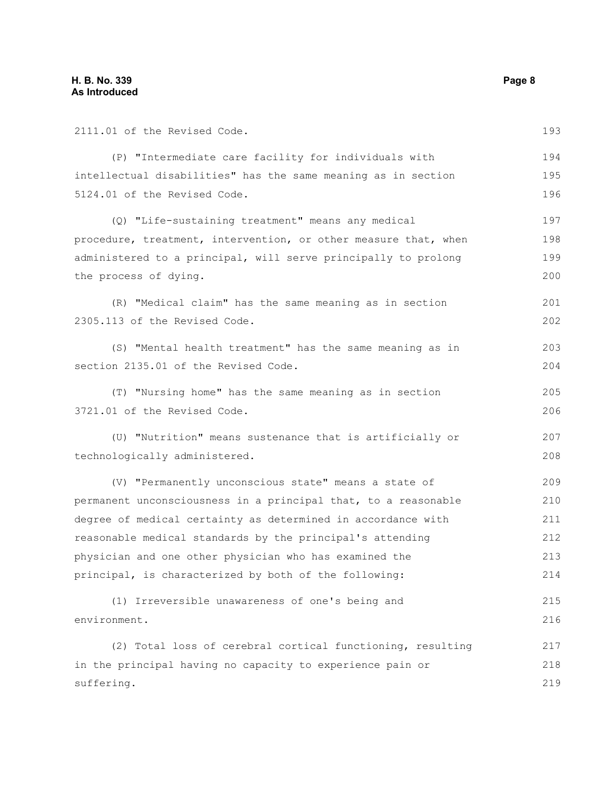2111.01 of the Revised Code.

(P) "Intermediate care facility for individuals with intellectual disabilities" has the same meaning as in section 5124.01 of the Revised Code. (Q) "Life-sustaining treatment" means any medical procedure, treatment, intervention, or other measure that, when administered to a principal, will serve principally to prolong the process of dying. (R) "Medical claim" has the same meaning as in section 2305.113 of the Revised Code. (S) "Mental health treatment" has the same meaning as in section 2135.01 of the Revised Code. (T) "Nursing home" has the same meaning as in section 3721.01 of the Revised Code. (U) "Nutrition" means sustenance that is artificially or technologically administered. (V) "Permanently unconscious state" means a state of permanent unconsciousness in a principal that, to a reasonable degree of medical certainty as determined in accordance with reasonable medical standards by the principal's attending physician and one other physician who has examined the principal, is characterized by both of the following: (1) Irreversible unawareness of one's being and environment. (2) Total loss of cerebral cortical functioning, resulting in the principal having no capacity to experience pain or suffering. 194 195 196 197 198 199 200 201 202 203 204 205 206 207 208 209 210 211 212 213 214 215 216 217 218 219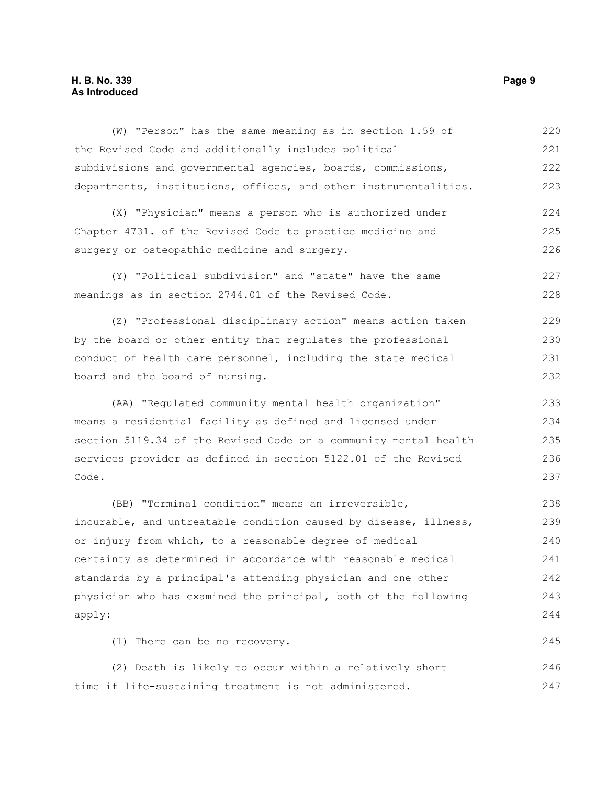### **H. B. No. 339** Page 9 **As Introduced**

| (W) "Person" has the same meaning as in section 1.59 of          | 220 |
|------------------------------------------------------------------|-----|
| the Revised Code and additionally includes political             | 221 |
| subdivisions and governmental agencies, boards, commissions,     | 222 |
| departments, institutions, offices, and other instrumentalities. | 223 |
| (X) "Physician" means a person who is authorized under           | 224 |
| Chapter 4731. of the Revised Code to practice medicine and       | 225 |
| surgery or osteopathic medicine and surgery.                     | 226 |
| (Y) "Political subdivision" and "state" have the same            | 227 |
| meanings as in section 2744.01 of the Revised Code.              | 228 |
| (Z) "Professional disciplinary action" means action taken        | 229 |
| by the board or other entity that regulates the professional     | 230 |
| conduct of health care personnel, including the state medical    | 231 |
| board and the board of nursing.                                  | 232 |
| (AA) "Regulated community mental health organization"            | 233 |
| means a residential facility as defined and licensed under       | 234 |
| section 5119.34 of the Revised Code or a community mental health | 235 |
| services provider as defined in section 5122.01 of the Revised   | 236 |
| Code.                                                            | 237 |
| (BB) "Terminal condition" means an irreversible,                 | 238 |
| incurable, and untreatable condition caused by disease, illness, | 239 |
| or injury from which, to a reasonable degree of medical          | 240 |
| certainty as determined in accordance with reasonable medical    | 241 |
| standards by a principal's attending physician and one other     | 242 |
| physician who has examined the principal, both of the following  | 243 |
| apply:                                                           | 244 |
| (1) There can be no recovery.                                    | 245 |
| (2) Death is likely to occur within a relatively short           | 246 |

time if life-sustaining treatment is not administered. 247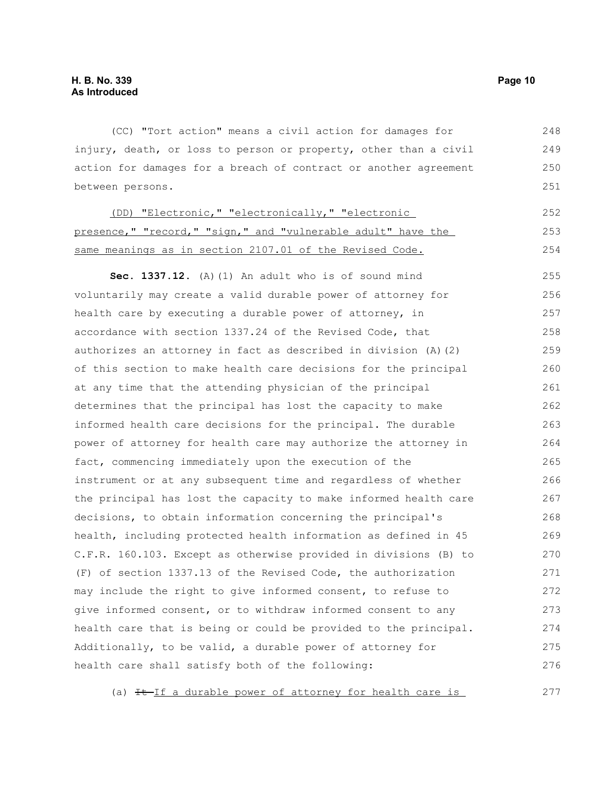(CC) "Tort action" means a civil action for damages for injury, death, or loss to person or property, other than a civil action for damages for a breach of contract or another agreement between persons. 248 249 250 251

| (DD) "Electronic," "electronically," "electronic             | 252  |
|--------------------------------------------------------------|------|
| presence," "record," "sign," and "vulnerable adult" have the | 253  |
| same meanings as in section 2107.01 of the Revised Code.     | 2.54 |

**Sec. 1337.12.** (A)(1) An adult who is of sound mind voluntarily may create a valid durable power of attorney for health care by executing a durable power of attorney, in accordance with section 1337.24 of the Revised Code, that authorizes an attorney in fact as described in division (A)(2) of this section to make health care decisions for the principal at any time that the attending physician of the principal determines that the principal has lost the capacity to make informed health care decisions for the principal. The durable power of attorney for health care may authorize the attorney in fact, commencing immediately upon the execution of the instrument or at any subsequent time and regardless of whether the principal has lost the capacity to make informed health care decisions, to obtain information concerning the principal's health, including protected health information as defined in 45 C.F.R. 160.103. Except as otherwise provided in divisions (B) to (F) of section 1337.13 of the Revised Code, the authorization may include the right to give informed consent, to refuse to give informed consent, or to withdraw informed consent to any health care that is being or could be provided to the principal. Additionally, to be valid, a durable power of attorney for health care shall satisfy both of the following: 255 256 257 258 259 260 261 262 263 264 265 266 267 268 269 270 271 272 273 274 275 276

(a)  $H-Jf$  a durable power of attorney for health care is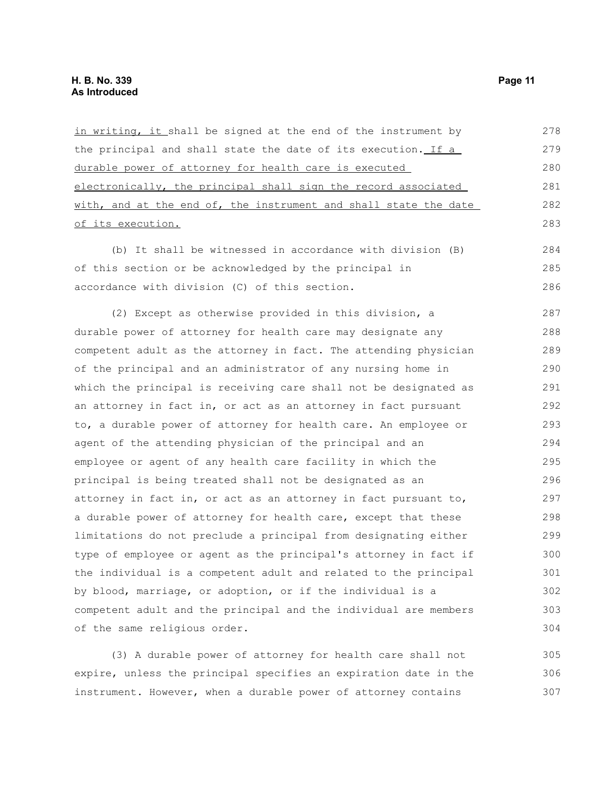in writing, it shall be signed at the end of the instrument by the principal and shall state the date of its execution. If a durable power of attorney for health care is executed electronically, the principal shall sign the record associated with, and at the end of, the instrument and shall state the date of its execution. 278 279 280 281 282 283

(b) It shall be witnessed in accordance with division (B) of this section or be acknowledged by the principal in accordance with division (C) of this section. 284 285 286

(2) Except as otherwise provided in this division, a durable power of attorney for health care may designate any competent adult as the attorney in fact. The attending physician of the principal and an administrator of any nursing home in which the principal is receiving care shall not be designated as an attorney in fact in, or act as an attorney in fact pursuant to, a durable power of attorney for health care. An employee or agent of the attending physician of the principal and an employee or agent of any health care facility in which the principal is being treated shall not be designated as an attorney in fact in, or act as an attorney in fact pursuant to, a durable power of attorney for health care, except that these limitations do not preclude a principal from designating either type of employee or agent as the principal's attorney in fact if the individual is a competent adult and related to the principal by blood, marriage, or adoption, or if the individual is a competent adult and the principal and the individual are members of the same religious order. 287 288 289 290 291 292 293 294 295 296 297 298 299 300 301 302 303 304

(3) A durable power of attorney for health care shall not expire, unless the principal specifies an expiration date in the instrument. However, when a durable power of attorney contains 305 306 307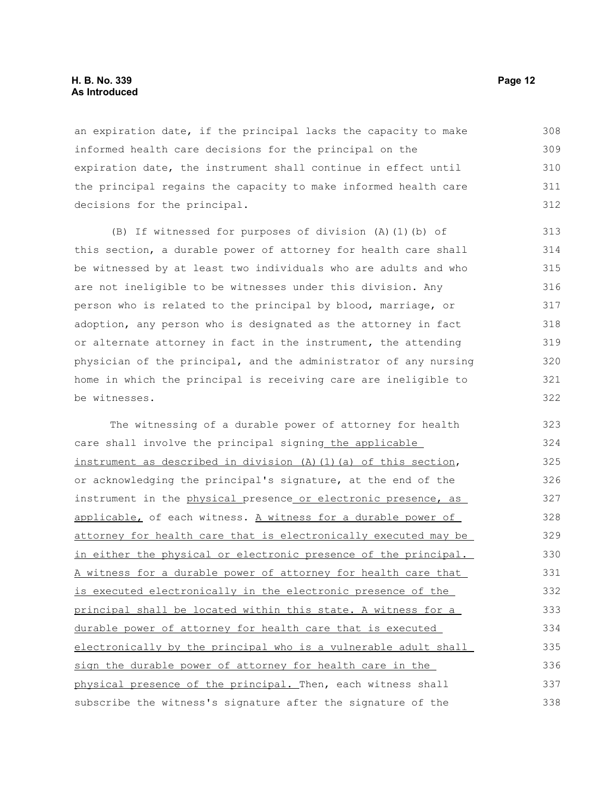### **H. B. No. 339 Page 12 As Introduced**

an expiration date, if the principal lacks the capacity to make informed health care decisions for the principal on the expiration date, the instrument shall continue in effect until the principal regains the capacity to make informed health care decisions for the principal. 308 309 310 311 312

(B) If witnessed for purposes of division (A)(1)(b) of this section, a durable power of attorney for health care shall be witnessed by at least two individuals who are adults and who are not ineligible to be witnesses under this division. Any person who is related to the principal by blood, marriage, or adoption, any person who is designated as the attorney in fact or alternate attorney in fact in the instrument, the attending physician of the principal, and the administrator of any nursing home in which the principal is receiving care are ineligible to be witnesses.

The witnessing of a durable power of attorney for health care shall involve the principal signing the applicable instrument as described in division  $(A)$   $(1)$   $(a)$  of this section, or acknowledging the principal's signature, at the end of the instrument in the physical presence or electronic presence, as applicable, of each witness. A witness for a durable power of attorney for health care that is electronically executed may be in either the physical or electronic presence of the principal. A witness for a durable power of attorney for health care that is executed electronically in the electronic presence of the principal shall be located within this state. A witness for a durable power of attorney for health care that is executed electronically by the principal who is a vulnerable adult shall sign the durable power of attorney for health care in the physical presence of the principal. Then, each witness shall subscribe the witness's signature after the signature of the 323 324 325 326 327 328 329 330 331 332 333 334 335 336 337 338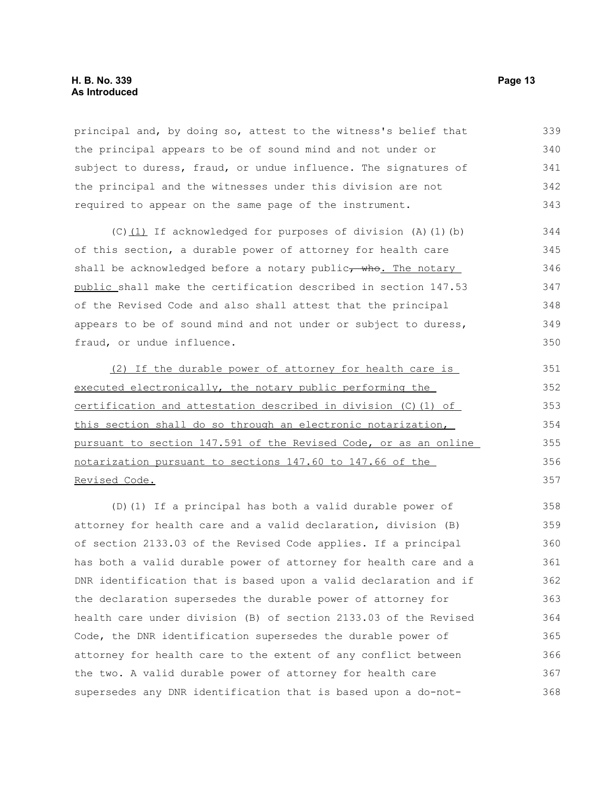principal and, by doing so, attest to the witness's belief that the principal appears to be of sound mind and not under or subject to duress, fraud, or undue influence. The signatures of the principal and the witnesses under this division are not required to appear on the same page of the instrument. 339 340 341 342 343

(C)(1) If acknowledged for purposes of division (A)(1)(b) of this section, a durable power of attorney for health care shall be acknowledged before a notary public $\tau$  who. The notary public shall make the certification described in section 147.53 of the Revised Code and also shall attest that the principal appears to be of sound mind and not under or subject to duress, fraud, or undue influence.

(2) If the durable power of attorney for health care is executed electronically, the notary public performing the certification and attestation described in division (C)(1) of this section shall do so through an electronic notarization, pursuant to section 147.591 of the Revised Code, or as an online notarization pursuant to sections 147.60 to 147.66 of the Revised Code. 351 352 353 354 355 356 357

(D)(1) If a principal has both a valid durable power of attorney for health care and a valid declaration, division (B) of section 2133.03 of the Revised Code applies. If a principal has both a valid durable power of attorney for health care and a DNR identification that is based upon a valid declaration and if the declaration supersedes the durable power of attorney for health care under division (B) of section 2133.03 of the Revised Code, the DNR identification supersedes the durable power of attorney for health care to the extent of any conflict between the two. A valid durable power of attorney for health care supersedes any DNR identification that is based upon a do-not-358 359 360 361 362 363 364 365 366 367 368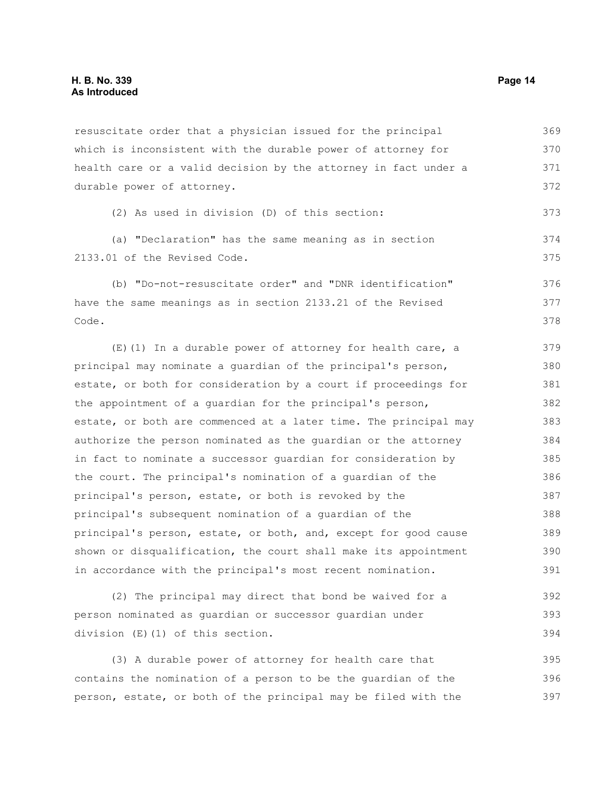resuscitate order that a physician issued for the principal which is inconsistent with the durable power of attorney for health care or a valid decision by the attorney in fact under a durable power of attorney. 369 370 371 372

```
(2) As used in division (D) of this section:
```
(a) "Declaration" has the same meaning as in section 2133.01 of the Revised Code. 374 375

(b) "Do-not-resuscitate order" and "DNR identification" have the same meanings as in section 2133.21 of the Revised Code. 376 377 378

(E)(1) In a durable power of attorney for health care, a principal may nominate a guardian of the principal's person, estate, or both for consideration by a court if proceedings for the appointment of a guardian for the principal's person, estate, or both are commenced at a later time. The principal may authorize the person nominated as the guardian or the attorney in fact to nominate a successor guardian for consideration by the court. The principal's nomination of a guardian of the principal's person, estate, or both is revoked by the principal's subsequent nomination of a guardian of the principal's person, estate, or both, and, except for good cause shown or disqualification, the court shall make its appointment in accordance with the principal's most recent nomination. 379 380 381 382 383 384 385 386 387 388 389 390 391

(2) The principal may direct that bond be waived for a person nominated as guardian or successor guardian under division (E)(1) of this section. 392 393 394

(3) A durable power of attorney for health care that contains the nomination of a person to be the guardian of the person, estate, or both of the principal may be filed with the 395 396 397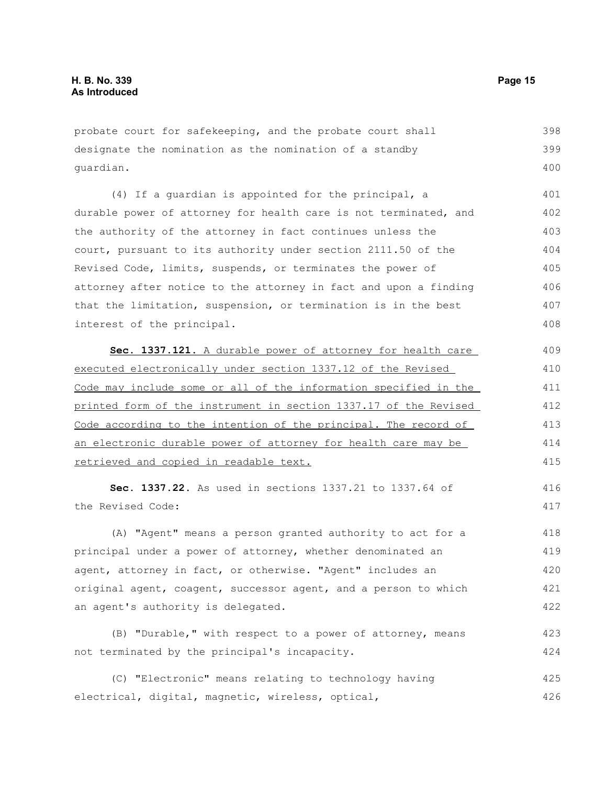probate court for safekeeping, and the probate court shall designate the nomination as the nomination of a standby guardian. 398 399 400

(4) If a guardian is appointed for the principal, a durable power of attorney for health care is not terminated, and the authority of the attorney in fact continues unless the court, pursuant to its authority under section 2111.50 of the Revised Code, limits, suspends, or terminates the power of attorney after notice to the attorney in fact and upon a finding that the limitation, suspension, or termination is in the best interest of the principal. 401 402 403 404 405 406 407 408

 **Sec. 1337.121.** A durable power of attorney for health care executed electronically under section 1337.12 of the Revised Code may include some or all of the information specified in the printed form of the instrument in section 1337.17 of the Revised Code according to the intention of the principal. The record of an electronic durable power of attorney for health care may be retrieved and copied in readable text. 409 410 411 412 413 414 415

**Sec. 1337.22.** As used in sections 1337.21 to 1337.64 of the Revised Code:

(A) "Agent" means a person granted authority to act for a principal under a power of attorney, whether denominated an agent, attorney in fact, or otherwise. "Agent" includes an original agent, coagent, successor agent, and a person to which an agent's authority is delegated. 418 419 420 421 422

(B) "Durable," with respect to a power of attorney, means not terminated by the principal's incapacity. 423 424

(C) "Electronic" means relating to technology having electrical, digital, magnetic, wireless, optical, 425 426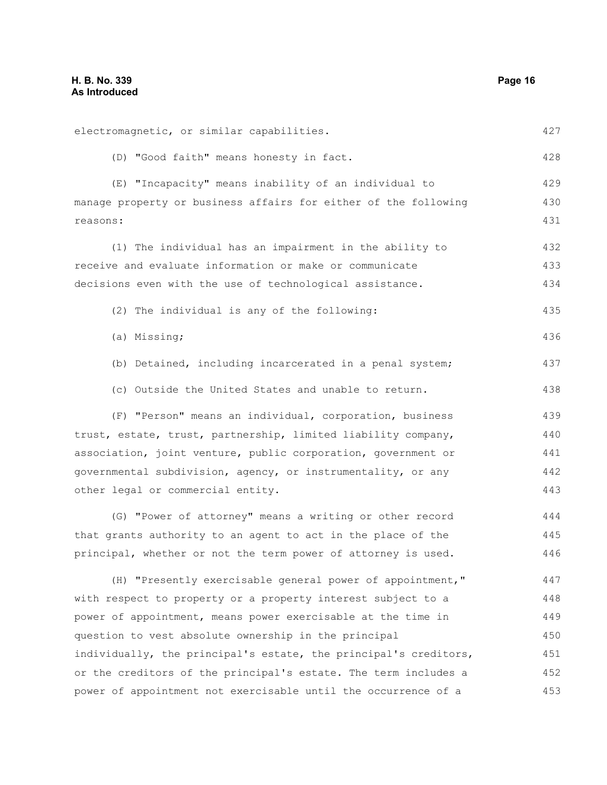| electromagnetic, or similar capabilities.                        | 427 |
|------------------------------------------------------------------|-----|
| (D) "Good faith" means honesty in fact.                          | 428 |
| (E) "Incapacity" means inability of an individual to             | 429 |
| manage property or business affairs for either of the following  | 430 |
| reasons:                                                         | 431 |
| (1) The individual has an impairment in the ability to           | 432 |
| receive and evaluate information or make or communicate          | 433 |
| decisions even with the use of technological assistance.         | 434 |
| (2) The individual is any of the following:                      | 435 |
| (a) Missing;                                                     | 436 |
| (b) Detained, including incarcerated in a penal system;          | 437 |
| (c) Outside the United States and unable to return.              | 438 |
| (F) "Person" means an individual, corporation, business          | 439 |
| trust, estate, trust, partnership, limited liability company,    | 440 |
| association, joint venture, public corporation, government or    | 441 |
| governmental subdivision, agency, or instrumentality, or any     | 442 |
| other legal or commercial entity.                                | 443 |
| (G) "Power of attorney" means a writing or other record          | 444 |
| that grants authority to an agent to act in the place of the     | 445 |
| principal, whether or not the term power of attorney is used.    | 446 |
| (H) "Presently exercisable general power of appointment,"        | 447 |
| with respect to property or a property interest subject to a     | 448 |
| power of appointment, means power exercisable at the time in     | 449 |
| question to vest absolute ownership in the principal             | 450 |
| individually, the principal's estate, the principal's creditors, | 451 |
| or the creditors of the principal's estate. The term includes a  | 452 |
| power of appointment not exercisable until the occurrence of a   | 453 |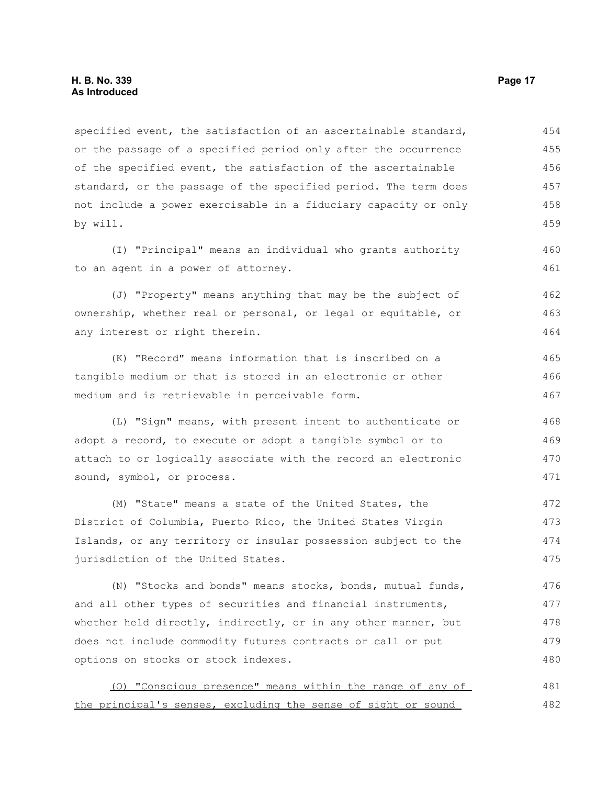specified event, the satisfaction of an ascertainable standard, or the passage of a specified period only after the occurrence of the specified event, the satisfaction of the ascertainable standard, or the passage of the specified period. The term does not include a power exercisable in a fiduciary capacity or only by will. 454 455 456 457 458 459

(I) "Principal" means an individual who grants authority to an agent in a power of attorney.

(J) "Property" means anything that may be the subject of ownership, whether real or personal, or legal or equitable, or any interest or right therein. 462 463 464

(K) "Record" means information that is inscribed on a tangible medium or that is stored in an electronic or other medium and is retrievable in perceivable form. 465 466 467

(L) "Sign" means, with present intent to authenticate or adopt a record, to execute or adopt a tangible symbol or to attach to or logically associate with the record an electronic sound, symbol, or process.

(M) "State" means a state of the United States, the District of Columbia, Puerto Rico, the United States Virgin Islands, or any territory or insular possession subject to the jurisdiction of the United States. 472 473 474 475

(N) "Stocks and bonds" means stocks, bonds, mutual funds, and all other types of securities and financial instruments, whether held directly, indirectly, or in any other manner, but does not include commodity futures contracts or call or put options on stocks or stock indexes. 476 477 478 479 480

(O) "Conscious presence" means within the range of any of the principal's senses, excluding the sense of sight or sound 481 482

460 461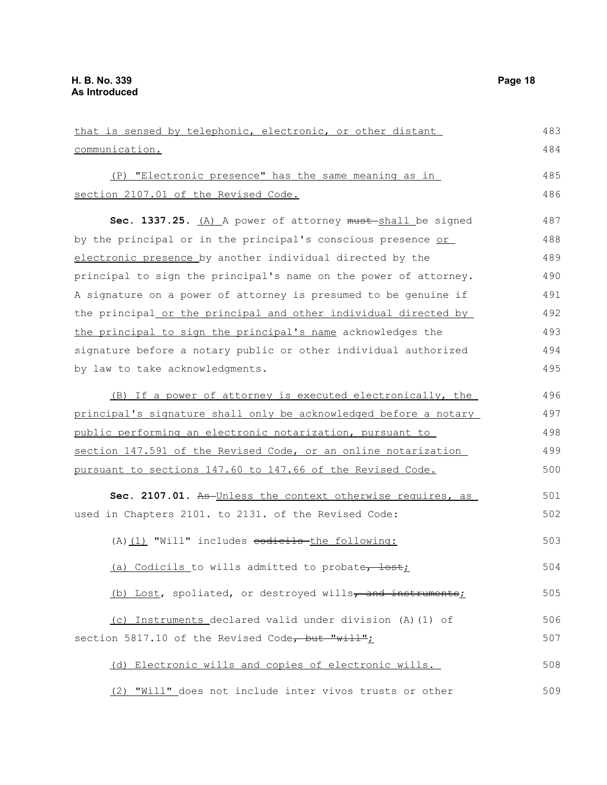| that is sensed by telephonic, electronic, or other distant       | 483 |
|------------------------------------------------------------------|-----|
| communication.                                                   | 484 |
| (P) "Electronic presence" has the same meaning as in             | 485 |
| section 2107.01 of the Revised Code.                             | 486 |
| Sec. 1337.25. (A) A power of attorney must shall be signed       | 487 |
| by the principal or in the principal's conscious presence or     | 488 |
| electronic presence by another individual directed by the        | 489 |
| principal to sign the principal's name on the power of attorney. | 490 |
| A signature on a power of attorney is presumed to be genuine if  | 491 |
| the principal or the principal and other individual directed by  | 492 |
| the principal to sign the principal's name acknowledges the      | 493 |
| signature before a notary public or other individual authorized  | 494 |
| by law to take acknowledgments.                                  | 495 |
| (B) If a power of attorney is executed electronically, the       | 496 |
| principal's signature shall only be acknowledged before a notary | 497 |
| public performing an electronic notarization, pursuant to        | 498 |
| section 147.591 of the Revised Code, or an online notarization   | 499 |
| pursuant to sections 147.60 to 147.66 of the Revised Code.       | 500 |
| Sec. 2107.01. As Unless the context otherwise requires, as       | 501 |
| used in Chapters 2101. to 2131. of the Revised Code:             | 502 |
| (A) (1) "Will" includes codicils the following:                  | 503 |
| (a) Codicils to wills admitted to probate, lost;                 | 504 |
| (b) Lost, spoliated, or destroyed wills, and instruments;        | 505 |
| (c) Instruments declared valid under division (A) (1) of         | 506 |
| section 5817.10 of the Revised Code, but "will";                 | 507 |
| (d) Electronic wills and copies of electronic wills.             | 508 |
| (2) "Will" does not include inter vivos trusts or other          | 509 |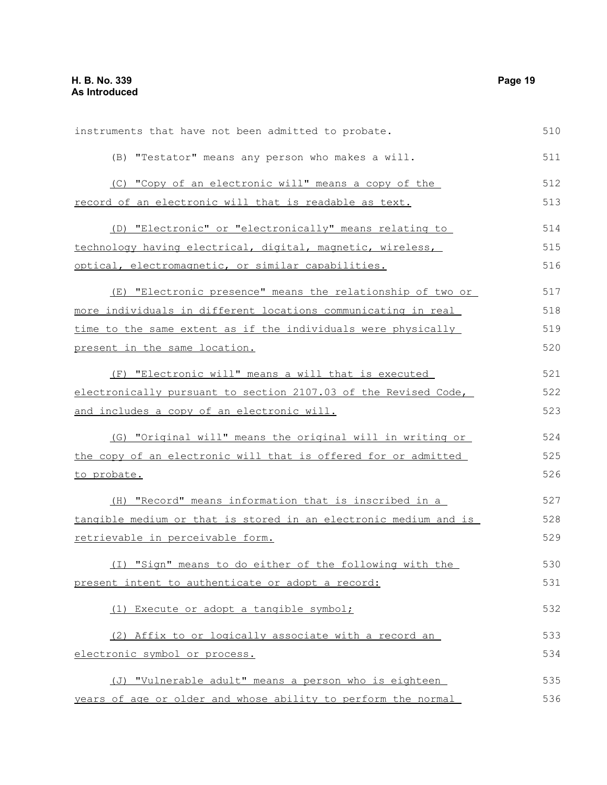| instruments that have not been admitted to probate.              | 510 |
|------------------------------------------------------------------|-----|
| (B) "Testator" means any person who makes a will.                | 511 |
| (C) "Copy of an electronic will" means a copy of the             | 512 |
| record of an electronic will that is readable as text.           | 513 |
| (D) "Electronic" or "electronically" means relating to           | 514 |
| technology having electrical, digital, magnetic, wireless,       | 515 |
| optical, electromagnetic, or similar capabilities.               | 516 |
| (E) "Electronic presence" means the relationship of two or       | 517 |
| more individuals in different locations communicating in real    | 518 |
| time to the same extent as if the individuals were physically    | 519 |
| present in the same location.                                    | 520 |
| (F) "Electronic will" means a will that is executed              | 521 |
| electronically pursuant to section 2107.03 of the Revised Code,  | 522 |
| and includes a copy of an electronic will.                       | 523 |
| (G) "Original will" means the original will in writing or        | 524 |
| the copy of an electronic will that is offered for or admitted   | 525 |
| to probate.                                                      | 526 |
| (H) "Record" means information that is inscribed in a            | 527 |
| tangible medium or that is stored in an electronic medium and is | 528 |
| retrievable in perceivable form.                                 | 529 |
| (I) "Sign" means to do either of the following with the          | 530 |
| present intent to authenticate or adopt a record:                | 531 |
| (1) Execute or adopt a tangible symbol;                          | 532 |
| (2) Affix to or logically associate with a record an             | 533 |
| electronic symbol or process.                                    | 534 |
| (J) "Vulnerable adult" means a person who is eighteen            | 535 |
| years of age or older and whose ability to perform the normal    | 536 |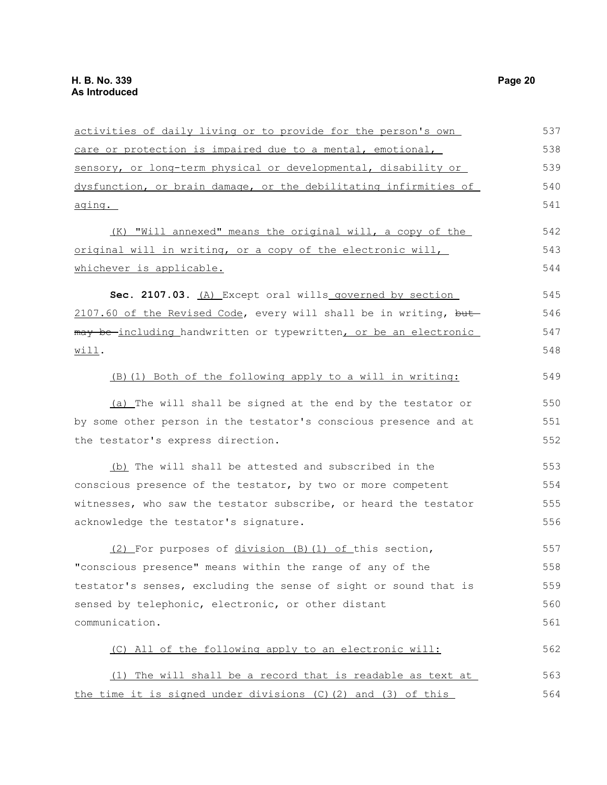| activities of daily living or to provide for the person's own    | 537 |
|------------------------------------------------------------------|-----|
| care or protection is impaired due to a mental, emotional,       | 538 |
| sensory, or long-term physical or developmental, disability or   | 539 |
| dysfunction, or brain damage, or the debilitating infirmities of | 540 |
| aging.                                                           | 541 |
| (K) "Will annexed" means the original will, a copy of the        | 542 |
| original will in writing, or a copy of the electronic will,      | 543 |
| whichever is applicable.                                         | 544 |
| Sec. 2107.03. (A) Except oral wills governed by section          | 545 |
| 2107.60 of the Revised Code, every will shall be in writing, but | 546 |
| may be-including handwritten or typewritten, or be an electronic | 547 |
| Willl.                                                           | 548 |
| (B) (1) Both of the following apply to a will in writing:        | 549 |
| (a) The will shall be signed at the end by the testator or       | 550 |
| by some other person in the testator's conscious presence and at | 551 |
| the testator's express direction.                                | 552 |
| (b) The will shall be attested and subscribed in the             | 553 |
| conscious presence of the testator, by two or more competent     | 554 |
| witnesses, who saw the testator subscribe, or heard the testator | 555 |
| acknowledge the testator's signature.                            | 556 |
| (2) For purposes of division (B) (1) of this section,            | 557 |
| "conscious presence" means within the range of any of the        | 558 |
| testator's senses, excluding the sense of sight or sound that is | 559 |
| sensed by telephonic, electronic, or other distant               | 560 |
| communication.                                                   | 561 |
| (C) All of the following apply to an electronic will:            | 562 |
| (1) The will shall be a record that is readable as text at       | 563 |
| the time it is signed under divisions (C) (2) and (3) of this    | 564 |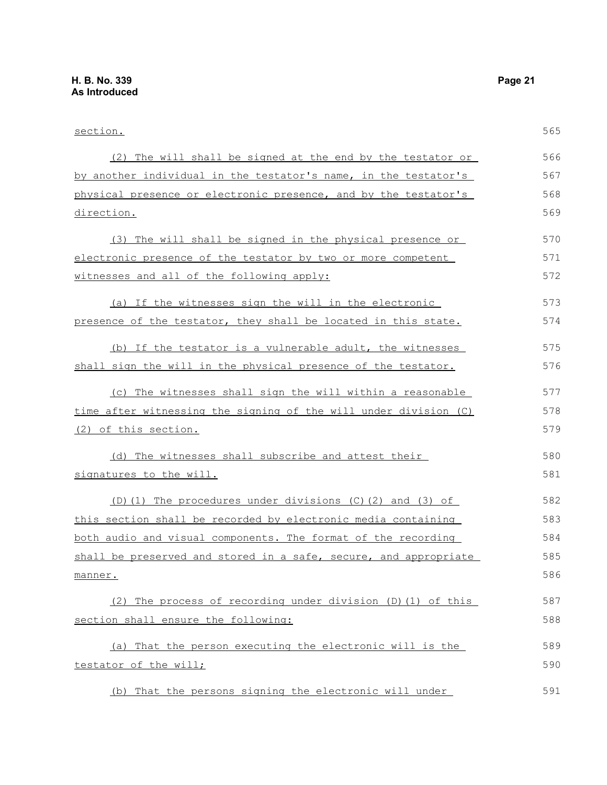| section.                                                         | 565 |
|------------------------------------------------------------------|-----|
| (2) The will shall be signed at the end by the testator or       | 566 |
| by another individual in the testator's name, in the testator's  | 567 |
| physical presence or electronic presence, and by the testator's  | 568 |
| direction.                                                       | 569 |
| (3) The will shall be signed in the physical presence or         | 570 |
| electronic presence of the testator by two or more competent     | 571 |
| witnesses and all of the following apply:                        | 572 |
| (a) If the witnesses sign the will in the electronic             | 573 |
| presence of the testator, they shall be located in this state.   | 574 |
| (b) If the testator is a vulnerable adult, the witnesses         | 575 |
| shall sign the will in the physical presence of the testator.    | 576 |
| (c) The witnesses shall sign the will within a reasonable        | 577 |
| time after witnessing the signing of the will under division (C) | 578 |
| (2) of this section.                                             | 579 |
| (d) The witnesses shall subscribe and attest their               | 580 |
| signatures to the will.                                          | 581 |
| (D)(1) The procedures under divisions (C)(2) and (3) of          | 582 |
| this section shall be recorded by electronic media containing    | 583 |
| both audio and visual components. The format of the recording    | 584 |
| shall be preserved and stored in a safe, secure, and appropriate | 585 |
| manner.                                                          | 586 |
| (2) The process of recording under division (D) (1) of this      | 587 |
| section shall ensure the following:                              | 588 |
| (a) That the person executing the electronic will is the         | 589 |
| testator of the will;                                            | 590 |
| That the persons signing the electronic will under<br>(b)        | 591 |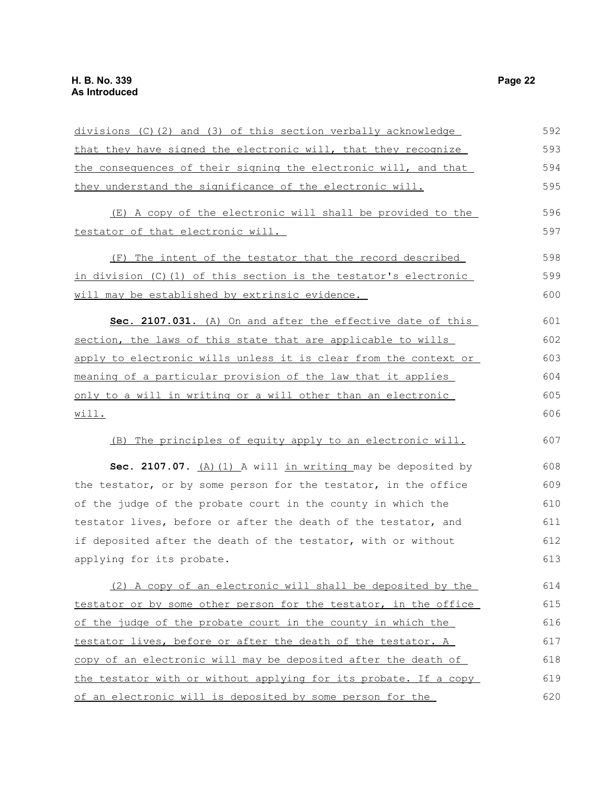| divisions (C)(2) and (3) of this section verbally acknowledge    | 592 |
|------------------------------------------------------------------|-----|
| that they have signed the electronic will, that they recognize   | 593 |
| the consequences of their signing the electronic will, and that  | 594 |
| they understand the significance of the electronic will.         | 595 |
| (E) A copy of the electronic will shall be provided to the       | 596 |
| testator of that electronic will.                                | 597 |
| The intent of the testator that the record described<br>(F)      | 598 |
| in division (C)(1) of this section is the testator's electronic  | 599 |
| will may be established by extrinsic evidence.                   | 600 |
| Sec. 2107.031. (A) On and after the effective date of this       | 601 |
| section, the laws of this state that are applicable to wills     | 602 |
| apply to electronic wills unless it is clear from the context or | 603 |
| meaning of a particular provision of the law that it applies     | 604 |
| only to a will in writing or a will other than an electronic     | 605 |
| will.                                                            | 606 |
| (B) The principles of equity apply to an electronic will.        | 607 |
| Sec. 2107.07. $(A)$ $(1)$ A will in writing may be deposited by  | 608 |
| the testator, or by some person for the testator, in the office  | 609 |
| of the judge of the probate court in the county in which the     | 610 |
| testator lives, before or after the death of the testator, and   | 611 |
| if deposited after the death of the testator, with or without    | 612 |
| applying for its probate.                                        | 613 |
| (2) A copy of an electronic will shall be deposited by the       | 614 |
| testator or by some other person for the testator, in the office | 615 |
| of the judge of the probate court in the county in which the     | 616 |
| testator lives, before or after the death of the testator. A     | 617 |
| copy of an electronic will may be deposited after the death of   | 618 |
| the testator with or without applying for its probate. If a copy | 619 |
| of an electronic will is deposited by some person for the        | 620 |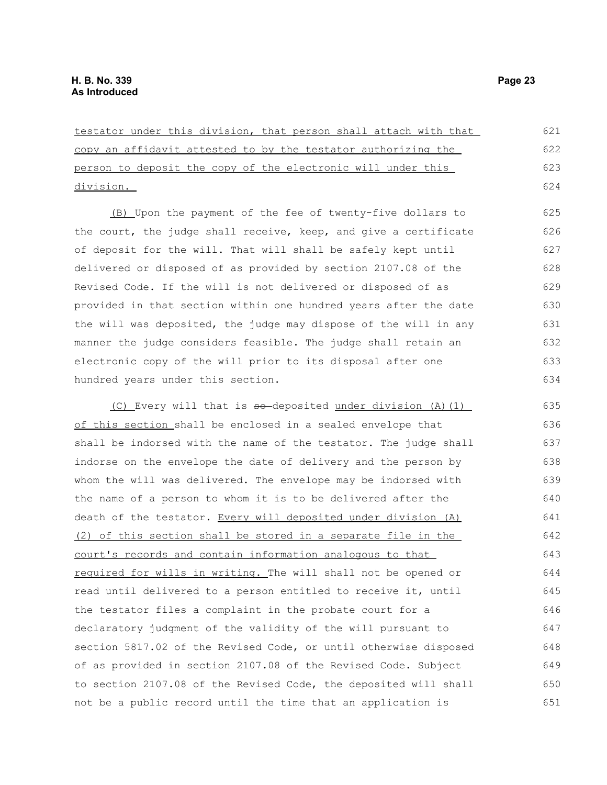| testator under this division, that person shall attach with that | 621 |
|------------------------------------------------------------------|-----|
| copy an affidavit attested to by the testator authorizing the    | 622 |
| person to deposit the copy of the electronic will under this     | 623 |
| division.                                                        | 624 |
| (B) Upon the payment of the fee of twenty-five dollars to        | 625 |
| the court, the judge shall receive, keep, and give a certificate | 626 |
| of deposit for the will. That will shall be safely kept until    | 627 |
| delivered or disposed of as provided by section 2107.08 of the   | 628 |
| Revised Code. If the will is not delivered or disposed of as     | 629 |
| provided in that section within one hundred years after the date | 630 |
| the will was deposited, the judge may dispose of the will in any | 631 |
| manner the judge considers feasible. The judge shall retain an   | 632 |
| electronic copy of the will prior to its disposal after one      | 633 |
| hundred years under this section.                                | 634 |
| (C) Every will that is so-deposited under division (A) (1)       | 635 |
| of this section shall be enclosed in a sealed envelope that      | 636 |
| shall be indorsed with the name of the testator. The judge shall | 637 |
| indorse on the envelope the date of delivery and the person by   | 638 |
| whom the will was delivered. The envelope may be indorsed with   | 639 |
| the name of a person to whom it is to be delivered after the     | 640 |
| death of the testator. Every will deposited under division (A)   | 641 |
| (2) of this section shall be stored in a separate file in the    | 642 |
| court's records and contain information analogous to that        | 643 |
| required for wills in writing. The will shall not be opened or   | 644 |
| read until delivered to a person entitled to receive it, until   | 645 |
| the testator files a complaint in the probate court for a        | 646 |
| declaratory judgment of the validity of the will pursuant to     | 647 |
| section 5817.02 of the Revised Code, or until otherwise disposed | 648 |
| of as provided in section 2107.08 of the Revised Code. Subject   | 649 |
| to section 2107.08 of the Revised Code, the deposited will shall | 650 |
| not be a public record until the time that an application is     | 651 |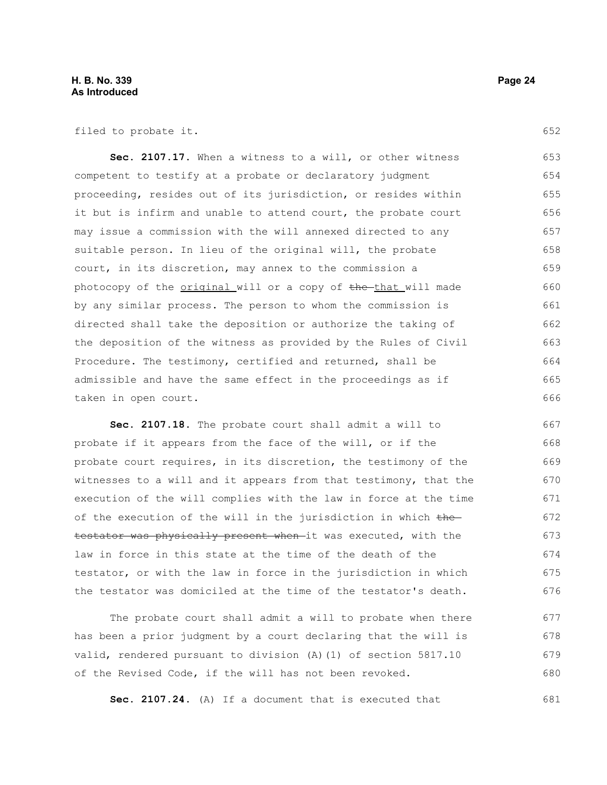filed to probate it.

**Sec. 2107.17.** When a witness to a will, or other witness competent to testify at a probate or declaratory judgment proceeding, resides out of its jurisdiction, or resides within it but is infirm and unable to attend court, the probate court may issue a commission with the will annexed directed to any suitable person. In lieu of the original will, the probate court, in its discretion, may annex to the commission a photocopy of the original will or a copy of the that will made by any similar process. The person to whom the commission is directed shall take the deposition or authorize the taking of the deposition of the witness as provided by the Rules of Civil Procedure. The testimony, certified and returned, shall be admissible and have the same effect in the proceedings as if taken in open court. 653 654 655 656 657 658 659 660 661 662 663 664 665 666

**Sec. 2107.18.** The probate court shall admit a will to probate if it appears from the face of the will, or if the probate court requires, in its discretion, the testimony of the witnesses to a will and it appears from that testimony, that the execution of the will complies with the law in force at the time of the execution of the will in the jurisdiction in which  $the$ testator was physically present when it was executed, with the law in force in this state at the time of the death of the testator, or with the law in force in the jurisdiction in which the testator was domiciled at the time of the testator's death. 667 668 669 670 671 672 673 674 675 676

The probate court shall admit a will to probate when there has been a prior judgment by a court declaring that the will is valid, rendered pursuant to division (A)(1) of section 5817.10 of the Revised Code, if the will has not been revoked. 677 678 679 680

**Sec. 2107.24.** (A) If a document that is executed that 681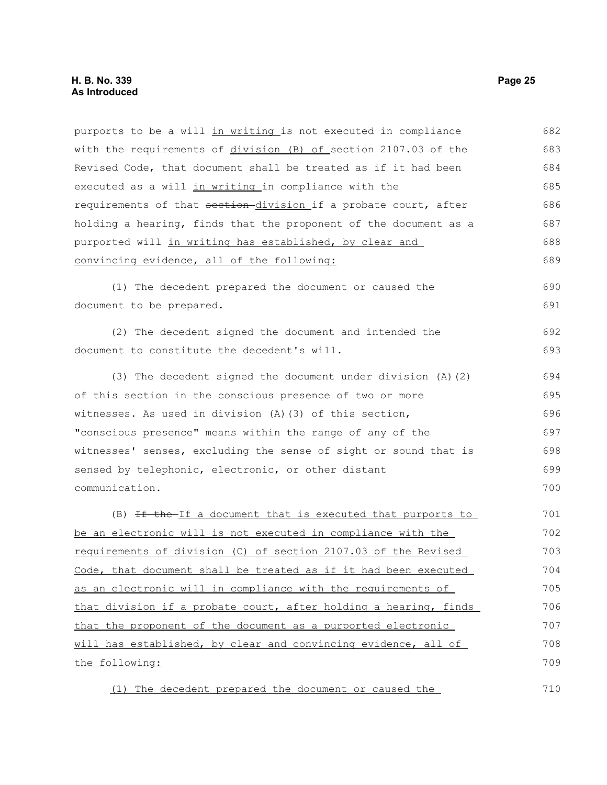### **H. B. No. 339 Page 25 As Introduced**

| purports to be a will in writing is not executed in compliance   | 682 |
|------------------------------------------------------------------|-----|
| with the requirements of division (B) of section 2107.03 of the  | 683 |
| Revised Code, that document shall be treated as if it had been   | 684 |
| executed as a will in writing in compliance with the             | 685 |
| requirements of that section-division if a probate court, after  | 686 |
| holding a hearing, finds that the proponent of the document as a | 687 |
| purported will in writing has established, by clear and          | 688 |
| convincing evidence, all of the following:                       | 689 |
| (1) The decedent prepared the document or caused the             | 690 |
| document to be prepared.                                         | 691 |
| (2) The decedent signed the document and intended the            | 692 |
| document to constitute the decedent's will.                      | 693 |
| (3) The decedent signed the document under division $(A)$ $(2)$  | 694 |
| of this section in the conscious presence of two or more         | 695 |
| witnesses. As used in division (A)(3) of this section,           | 696 |
| "conscious presence" means within the range of any of the        | 697 |
| witnesses' senses, excluding the sense of sight or sound that is | 698 |
| sensed by telephonic, electronic, or other distant               | 699 |
| communication.                                                   | 700 |
| (B) If the If a document that is executed that purports to       | 701 |
| be an electronic will is not executed in compliance with the     | 702 |
| requirements of division (C) of section 2107.03 of the Revised   | 703 |
| Code, that document shall be treated as if it had been executed  | 704 |
| as an electronic will in compliance with the requirements of     | 705 |
| that division if a probate court, after holding a hearing, finds | 706 |
| that the proponent of the document as a purported electronic     | 707 |
| will has established, by clear and convincing evidence, all of   | 708 |
| the following:                                                   | 709 |
| (1) The decedent prepared the document or caused the             | 710 |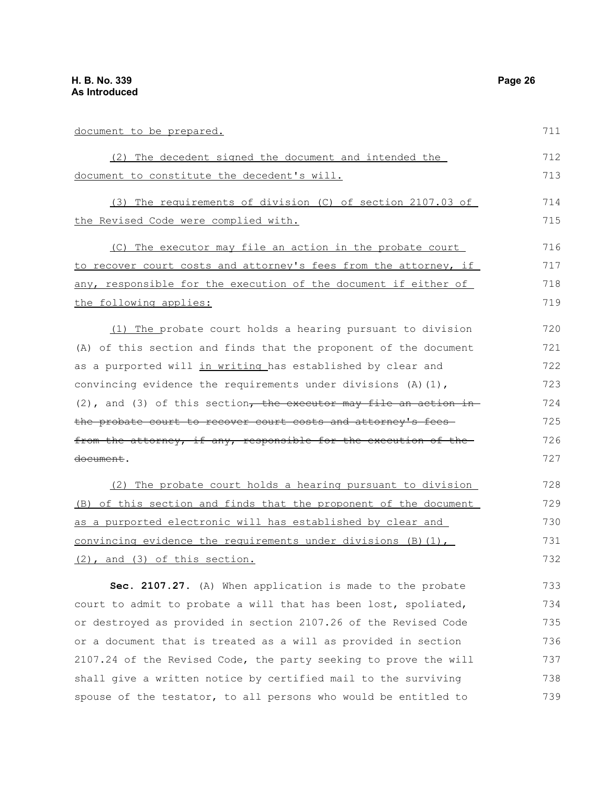document to be prepared.

(2) The decedent signed the document and intended the document to constitute the decedent's will. (3) The requirements of division (C) of section 2107.03 of the Revised Code were complied with. (C) The executor may file an action in the probate court to recover court costs and attorney's fees from the attorney, if any, responsible for the execution of the document if either of the following applies: (1) The probate court holds a hearing pursuant to division (A) of this section and finds that the proponent of the document as a purported will in writing has established by clear and convincing evidence the requirements under divisions  $(A)$  (1), 712 713 714 715 716 717 718 719 720 721 722 723

(2), and (3) of this section, the executor may file an action in the probate court to recover court costs and attorney's fees from the attorney, if any, responsible for the execution of the document. 724 725 726 727

(2) The probate court holds a hearing pursuant to division (B) of this section and finds that the proponent of the document as a purported electronic will has established by clear and convincing evidence the requirements under divisions  $(B)(1)$ , (2), and (3) of this section. 728 729 730 731 732

**Sec. 2107.27.** (A) When application is made to the probate court to admit to probate a will that has been lost, spoliated, or destroyed as provided in section 2107.26 of the Revised Code or a document that is treated as a will as provided in section 2107.24 of the Revised Code, the party seeking to prove the will shall give a written notice by certified mail to the surviving spouse of the testator, to all persons who would be entitled to 733 734 735 736 737 738 739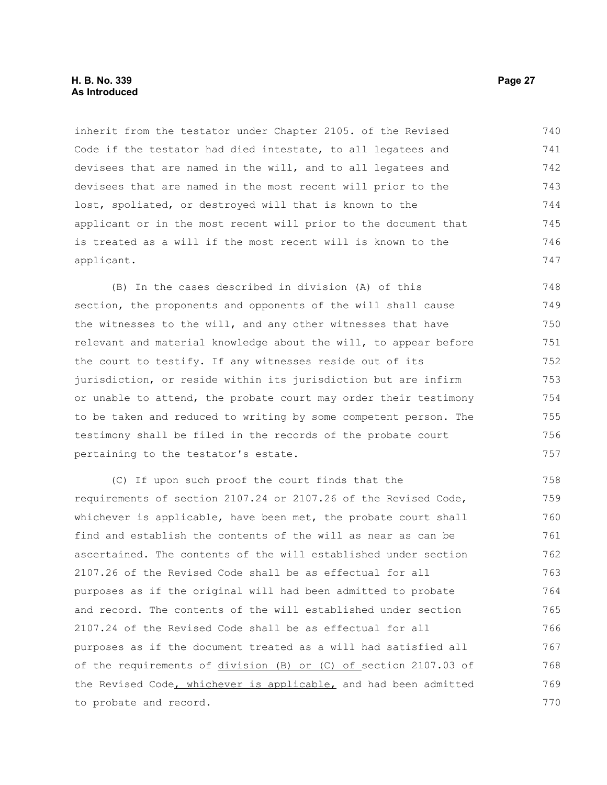### **H. B. No. 339 Page 27 As Introduced**

inherit from the testator under Chapter 2105. of the Revised Code if the testator had died intestate, to all legatees and devisees that are named in the will, and to all legatees and devisees that are named in the most recent will prior to the lost, spoliated, or destroyed will that is known to the applicant or in the most recent will prior to the document that is treated as a will if the most recent will is known to the applicant. 740 741 742 743 744 745 746 747

(B) In the cases described in division (A) of this section, the proponents and opponents of the will shall cause the witnesses to the will, and any other witnesses that have relevant and material knowledge about the will, to appear before the court to testify. If any witnesses reside out of its jurisdiction, or reside within its jurisdiction but are infirm or unable to attend, the probate court may order their testimony to be taken and reduced to writing by some competent person. The testimony shall be filed in the records of the probate court pertaining to the testator's estate.

(C) If upon such proof the court finds that the requirements of section 2107.24 or 2107.26 of the Revised Code, whichever is applicable, have been met, the probate court shall find and establish the contents of the will as near as can be ascertained. The contents of the will established under section 2107.26 of the Revised Code shall be as effectual for all purposes as if the original will had been admitted to probate and record. The contents of the will established under section 2107.24 of the Revised Code shall be as effectual for all purposes as if the document treated as a will had satisfied all of the requirements of division (B) or (C) of section 2107.03 of the Revised Code, whichever is applicable, and had been admitted to probate and record. 758 759 760 761 762 763 764 765 766 767 768 769 770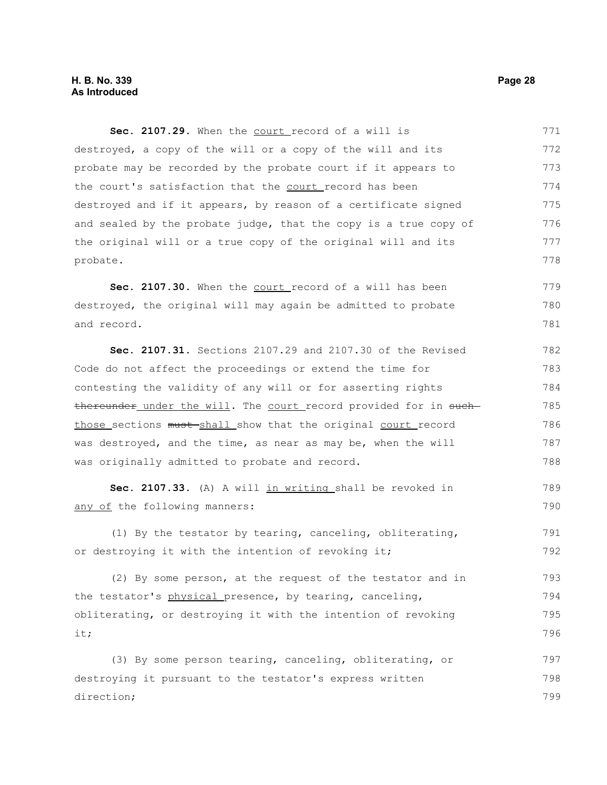Sec. 2107.29. When the court record of a will is destroyed, a copy of the will or a copy of the will and its probate may be recorded by the probate court if it appears to the court's satisfaction that the court record has been destroyed and if it appears, by reason of a certificate signed and sealed by the probate judge, that the copy is a true copy of the original will or a true copy of the original will and its probate. 771 772 773 774 775 776 777 778

Sec. 2107.30. When the court record of a will has been destroyed, the original will may again be admitted to probate and record. 779 780 781

**Sec. 2107.31.** Sections 2107.29 and 2107.30 of the Revised Code do not affect the proceedings or extend the time for contesting the validity of any will or for asserting rights thereunder under the will. The court record provided for in suchthose sections must-shall show that the original court record was destroyed, and the time, as near as may be, when the will was originally admitted to probate and record. 782 783 784 785 786 787 788

Sec. 2107.33. (A) A will in writing shall be revoked in any of the following manners: 789 790

(1) By the testator by tearing, canceling, obliterating, or destroying it with the intention of revoking it; 791 792

(2) By some person, at the request of the testator and in the testator's physical presence, by tearing, canceling, obliterating, or destroying it with the intention of revoking it; 793 794 795 796

(3) By some person tearing, canceling, obliterating, or destroying it pursuant to the testator's express written direction; 797 798 799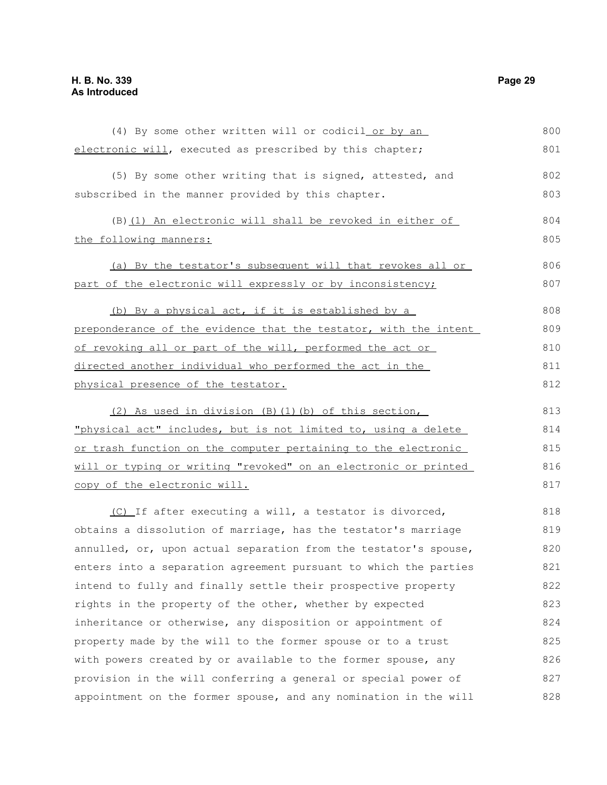| (4) By some other written will or codicil or by an               | 800 |
|------------------------------------------------------------------|-----|
| electronic will, executed as prescribed by this chapter;         | 801 |
| (5) By some other writing that is signed, attested, and          | 802 |
| subscribed in the manner provided by this chapter.               | 803 |
| (B) (1) An electronic will shall be revoked in either of         | 804 |
| the following manners:                                           | 805 |
| (a) By the testator's subsequent will that revokes all or        | 806 |
| part of the electronic will expressly or by inconsistency;       | 807 |
| (b) By a physical act, if it is established by a                 | 808 |
| preponderance of the evidence that the testator, with the intent | 809 |
| of revoking all or part of the will, performed the act or        | 810 |
| directed another individual who performed the act in the         | 811 |
| physical presence of the testator.                               | 812 |
| (2) As used in division (B) (1) (b) of this section,             | 813 |
| "physical act" includes, but is not limited to, using a delete   | 814 |
| or trash function on the computer pertaining to the electronic   | 815 |
| will or typing or writing "revoked" on an electronic or printed  | 816 |
| copy of the electronic will.                                     | 817 |
| (C) If after executing a will, a testator is divorced,           | 818 |
| obtains a dissolution of marriage, has the testator's marriage   | 819 |
| annulled, or, upon actual separation from the testator's spouse, | 820 |
| enters into a separation agreement pursuant to which the parties | 821 |
| intend to fully and finally settle their prospective property    | 822 |
| rights in the property of the other, whether by expected         | 823 |
| inheritance or otherwise, any disposition or appointment of      | 824 |
| property made by the will to the former spouse or to a trust     | 825 |
| with powers created by or available to the former spouse, any    | 826 |
| provision in the will conferring a general or special power of   | 827 |
| appointment on the former spouse, and any nomination in the will | 828 |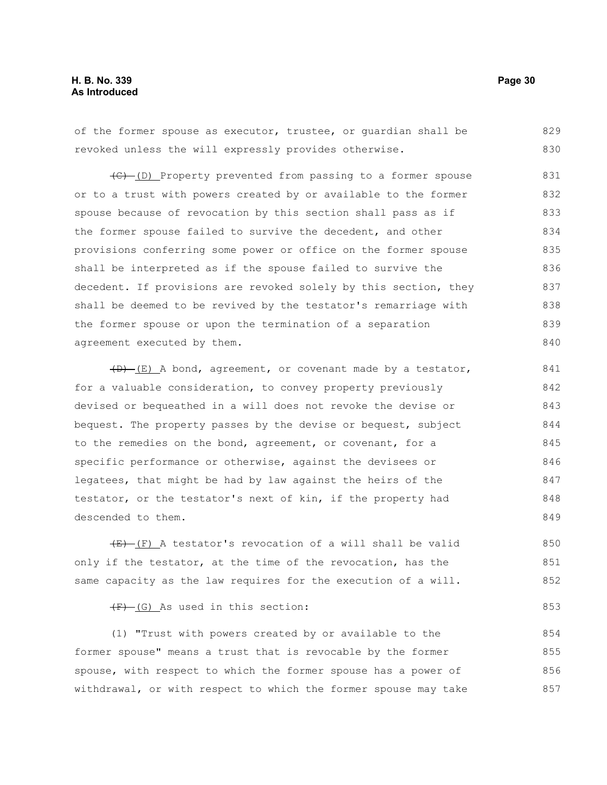### **H. B. No. 339 Page 30 As Introduced**

of the former spouse as executor, trustee, or guardian shall be revoked unless the will expressly provides otherwise. 829 830

(C) (D) Property prevented from passing to a former spouse or to a trust with powers created by or available to the former spouse because of revocation by this section shall pass as if the former spouse failed to survive the decedent, and other provisions conferring some power or office on the former spouse shall be interpreted as if the spouse failed to survive the decedent. If provisions are revoked solely by this section, they shall be deemed to be revived by the testator's remarriage with the former spouse or upon the termination of a separation agreement executed by them. 831 832 833 834 835 836 837 838 839 840

 $(D)$  (E) A bond, agreement, or covenant made by a testator, for a valuable consideration, to convey property previously devised or bequeathed in a will does not revoke the devise or bequest. The property passes by the devise or bequest, subject to the remedies on the bond, agreement, or covenant, for a specific performance or otherwise, against the devisees or legatees, that might be had by law against the heirs of the testator, or the testator's next of kin, if the property had descended to them. 841 842 843 844 845 846 847 848 849

 $(E)$  (F) A testator's revocation of a will shall be valid only if the testator, at the time of the revocation, has the same capacity as the law requires for the execution of a will. 850 851 852

 $(F)$  (G) As used in this section:

(1) "Trust with powers created by or available to the former spouse" means a trust that is revocable by the former spouse, with respect to which the former spouse has a power of withdrawal, or with respect to which the former spouse may take 854 855 856 857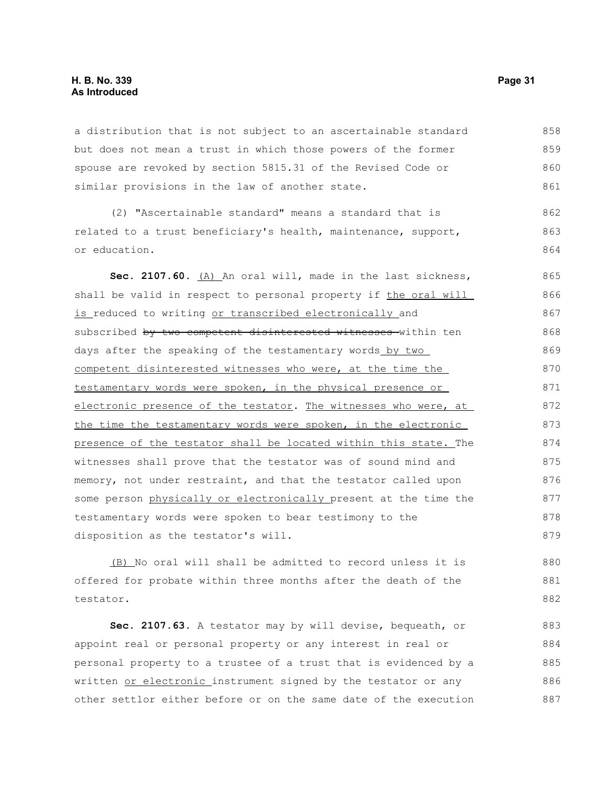### **H. B. No. 339 Page 31 As Introduced**

a distribution that is not subject to an ascertainable standard but does not mean a trust in which those powers of the former spouse are revoked by section 5815.31 of the Revised Code or similar provisions in the law of another state. 858 859 860 861

(2) "Ascertainable standard" means a standard that is related to a trust beneficiary's health, maintenance, support, or education. 862 863 864

Sec. 2107.60. (A) An oral will, made in the last sickness, shall be valid in respect to personal property if the oral will is reduced to writing or transcribed electronically and subscribed by two competent disinterested witnesses within ten days after the speaking of the testamentary words by two competent disinterested witnesses who were, at the time the testamentary words were spoken, in the physical presence or electronic presence of the testator. The witnesses who were, at the time the testamentary words were spoken, in the electronic presence of the testator shall be located within this state. The witnesses shall prove that the testator was of sound mind and memory, not under restraint, and that the testator called upon some person physically or electronically present at the time the testamentary words were spoken to bear testimony to the disposition as the testator's will. 865 866 867 868 869 870 871 872 873 874 875 876 877 878 879

(B) No oral will shall be admitted to record unless it is offered for probate within three months after the death of the testator. 880 881 882

**Sec. 2107.63.** A testator may by will devise, bequeath, or appoint real or personal property or any interest in real or personal property to a trustee of a trust that is evidenced by a written or electronic instrument signed by the testator or any other settlor either before or on the same date of the execution 883 884 885 886 887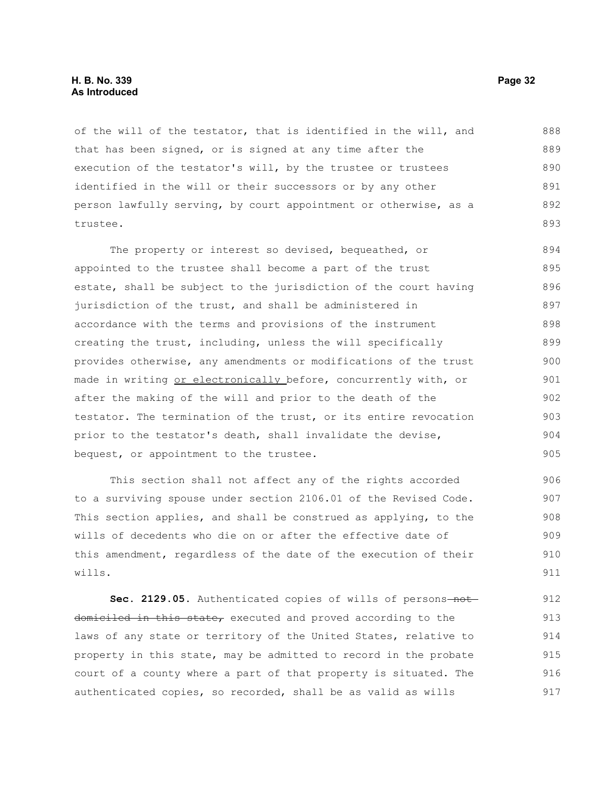### **H. B. No. 339 Page 32 As Introduced**

of the will of the testator, that is identified in the will, and that has been signed, or is signed at any time after the execution of the testator's will, by the trustee or trustees identified in the will or their successors or by any other person lawfully serving, by court appointment or otherwise, as a trustee. 888 889 890 891 892 893

The property or interest so devised, bequeathed, or appointed to the trustee shall become a part of the trust estate, shall be subject to the jurisdiction of the court having jurisdiction of the trust, and shall be administered in accordance with the terms and provisions of the instrument creating the trust, including, unless the will specifically provides otherwise, any amendments or modifications of the trust made in writing or electronically before, concurrently with, or after the making of the will and prior to the death of the testator. The termination of the trust, or its entire revocation prior to the testator's death, shall invalidate the devise, bequest, or appointment to the trustee. 894 895 896 897 898 899 900 901 902 903 904 905

This section shall not affect any of the rights accorded to a surviving spouse under section 2106.01 of the Revised Code. This section applies, and shall be construed as applying, to the wills of decedents who die on or after the effective date of this amendment, regardless of the date of the execution of their wills. 906 907 908 909 910 911

Sec. 2129.05. Authenticated copies of wills of persons-notdomiciled in this state, executed and proved according to the laws of any state or territory of the United States, relative to property in this state, may be admitted to record in the probate court of a county where a part of that property is situated. The authenticated copies, so recorded, shall be as valid as wills 912 913 914 915 916 917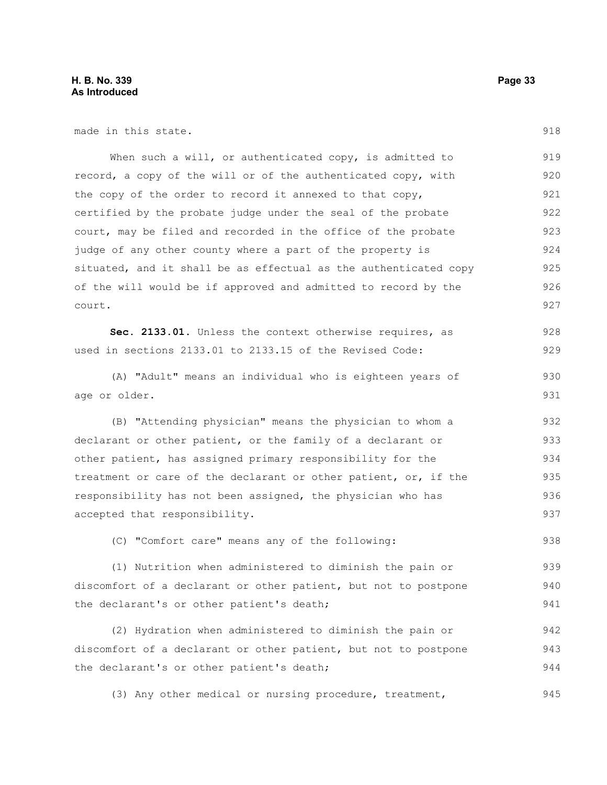made in this state.

When such a will, or authenticated copy, is admitted to record, a copy of the will or of the authenticated copy, with the copy of the order to record it annexed to that copy, certified by the probate judge under the seal of the probate court, may be filed and recorded in the office of the probate judge of any other county where a part of the property is situated, and it shall be as effectual as the authenticated copy of the will would be if approved and admitted to record by the court. 919 920 921 922 923 924 925 926 927

Sec. 2133.01. Unless the context otherwise requires, as used in sections 2133.01 to 2133.15 of the Revised Code: 928 929

(A) "Adult" means an individual who is eighteen years of age or older.

(B) "Attending physician" means the physician to whom a declarant or other patient, or the family of a declarant or other patient, has assigned primary responsibility for the treatment or care of the declarant or other patient, or, if the responsibility has not been assigned, the physician who has accepted that responsibility. 932 933 934 935 936 937

(C) "Comfort care" means any of the following:

(1) Nutrition when administered to diminish the pain or discomfort of a declarant or other patient, but not to postpone the declarant's or other patient's death; 939 940 941

(2) Hydration when administered to diminish the pain or discomfort of a declarant or other patient, but not to postpone the declarant's or other patient's death; 942 943 944

(3) Any other medical or nursing procedure, treatment, 945

918

938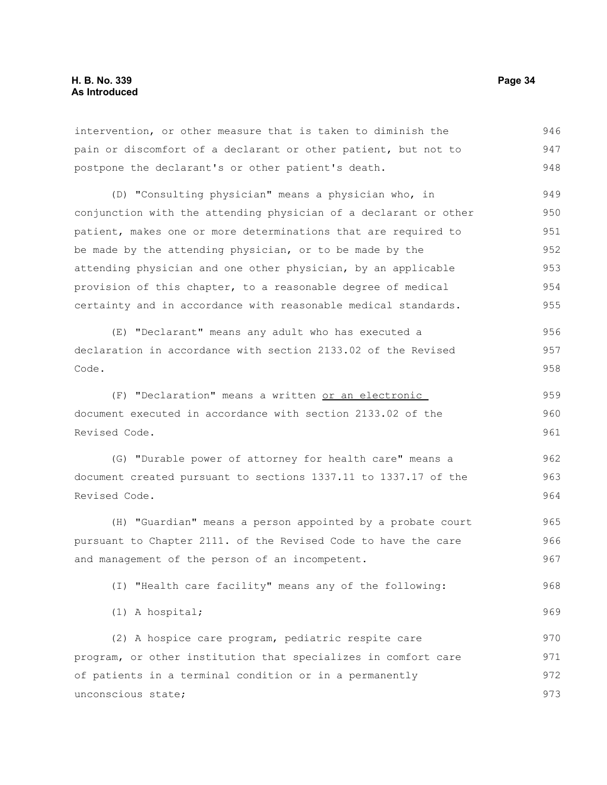intervention, or other measure that is taken to diminish the pain or discomfort of a declarant or other patient, but not to postpone the declarant's or other patient's death. 946 947 948

(D) "Consulting physician" means a physician who, in conjunction with the attending physician of a declarant or other patient, makes one or more determinations that are required to be made by the attending physician, or to be made by the attending physician and one other physician, by an applicable provision of this chapter, to a reasonable degree of medical certainty and in accordance with reasonable medical standards. 949 950 951 952 953 954 955

(E) "Declarant" means any adult who has executed a declaration in accordance with section 2133.02 of the Revised Code. 956 957 958

(F) "Declaration" means a written or an electronic document executed in accordance with section 2133.02 of the Revised Code. 959 960 961

(G) "Durable power of attorney for health care" means a document created pursuant to sections 1337.11 to 1337.17 of the Revised Code. 962 963 964

(H) "Guardian" means a person appointed by a probate court pursuant to Chapter 2111. of the Revised Code to have the care and management of the person of an incompetent. 965 966 967

(I) "Health care facility" means any of the following: 968

(1) A hospital;

(2) A hospice care program, pediatric respite care program, or other institution that specializes in comfort care of patients in a terminal condition or in a permanently unconscious state; 970 971 972 973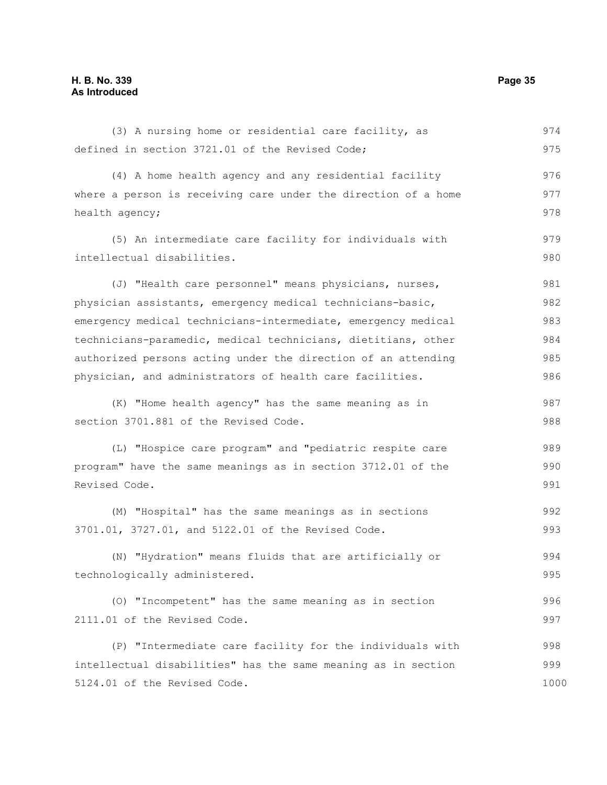(3) A nursing home or residential care facility, as defined in section 3721.01 of the Revised Code; (4) A home health agency and any residential facility where a person is receiving care under the direction of a home health agency; (5) An intermediate care facility for individuals with intellectual disabilities. (J) "Health care personnel" means physicians, nurses, physician assistants, emergency medical technicians-basic, emergency medical technicians-intermediate, emergency medical technicians-paramedic, medical technicians, dietitians, other authorized persons acting under the direction of an attending physician, and administrators of health care facilities. (K) "Home health agency" has the same meaning as in section 3701.881 of the Revised Code. (L) "Hospice care program" and "pediatric respite care program" have the same meanings as in section 3712.01 of the Revised Code. (M) "Hospital" has the same meanings as in sections 3701.01, 3727.01, and 5122.01 of the Revised Code. (N) "Hydration" means fluids that are artificially or technologically administered. (O) "Incompetent" has the same meaning as in section 2111.01 of the Revised Code. (P) "Intermediate care facility for the individuals with intellectual disabilities" has the same meaning as in section 5124.01 of the Revised Code. 974 975 976 977 978 979 980 981 982 983 984 985 986 987 988 989 990 991 992 993 994 995 996 997 998 999 1000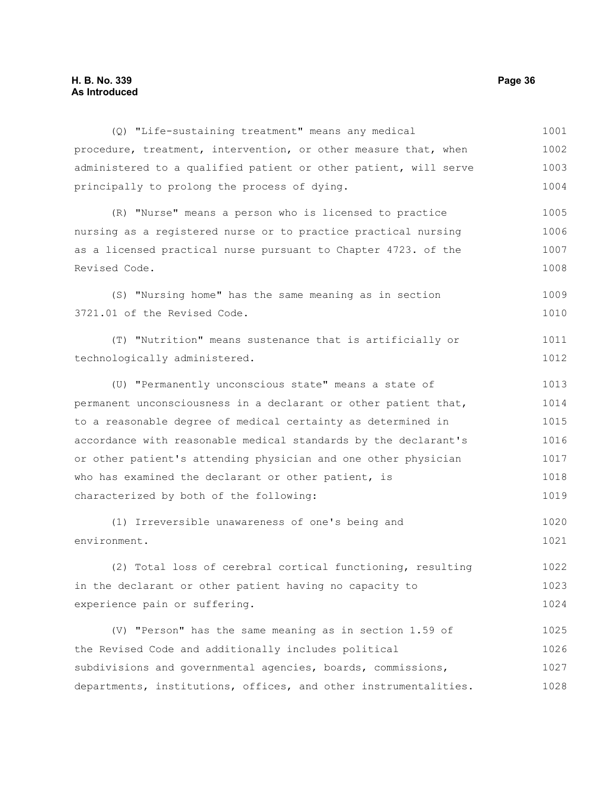### **H. B. No. 339 Page 36 As Introduced**

(Q) "Life-sustaining treatment" means any medical procedure, treatment, intervention, or other measure that, when administered to a qualified patient or other patient, will serve principally to prolong the process of dying. (R) "Nurse" means a person who is licensed to practice nursing as a registered nurse or to practice practical nursing as a licensed practical nurse pursuant to Chapter 4723. of the Revised Code. (S) "Nursing home" has the same meaning as in section 3721.01 of the Revised Code. (T) "Nutrition" means sustenance that is artificially or technologically administered. (U) "Permanently unconscious state" means a state of permanent unconsciousness in a declarant or other patient that, to a reasonable degree of medical certainty as determined in accordance with reasonable medical standards by the declarant's or other patient's attending physician and one other physician who has examined the declarant or other patient, is characterized by both of the following: (1) Irreversible unawareness of one's being and environment. (2) Total loss of cerebral cortical functioning, resulting in the declarant or other patient having no capacity to experience pain or suffering. (V) "Person" has the same meaning as in section 1.59 of the Revised Code and additionally includes political subdivisions and governmental agencies, boards, commissions, departments, institutions, offices, and other instrumentalities. 1001 1002 1003 1004 1005 1006 1007 1008 1009 1010 1011 1012 1013 1014 1015 1016 1017 1018 1019 1020 1021 1022 1023 1024 1025 1026 1027 1028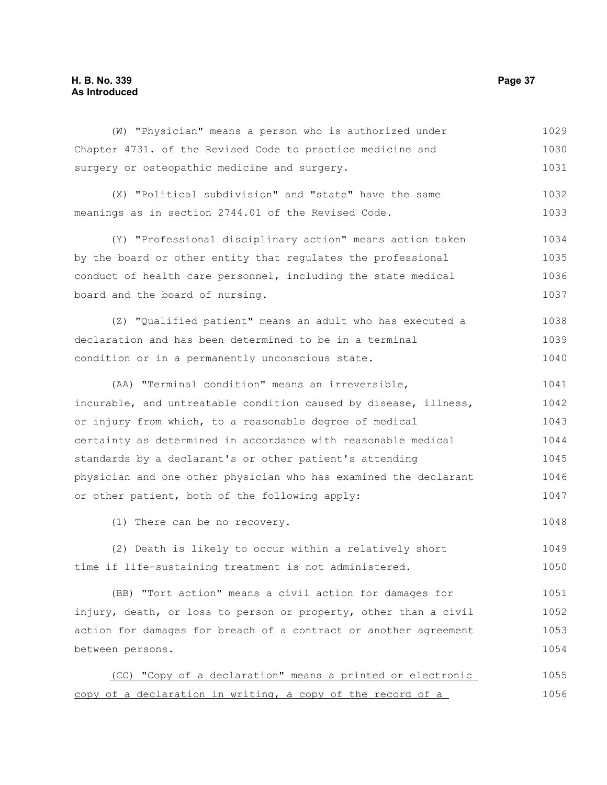(W) "Physician" means a person who is authorized under Chapter 4731. of the Revised Code to practice medicine and surgery or osteopathic medicine and surgery. 1029 1030 1031

(X) "Political subdivision" and "state" have the same meanings as in section 2744.01 of the Revised Code. 1032 1033

(Y) "Professional disciplinary action" means action taken by the board or other entity that regulates the professional conduct of health care personnel, including the state medical board and the board of nursing. 1034 1035 1036 1037

(Z) "Qualified patient" means an adult who has executed a declaration and has been determined to be in a terminal condition or in a permanently unconscious state. 1038 1039 1040

(AA) "Terminal condition" means an irreversible, incurable, and untreatable condition caused by disease, illness, or injury from which, to a reasonable degree of medical certainty as determined in accordance with reasonable medical standards by a declarant's or other patient's attending physician and one other physician who has examined the declarant or other patient, both of the following apply: 1041 1042 1043 1044 1045 1046 1047

(1) There can be no recovery.

(2) Death is likely to occur within a relatively short time if life-sustaining treatment is not administered. 1049 1050

(BB) "Tort action" means a civil action for damages for injury, death, or loss to person or property, other than a civil action for damages for breach of a contract or another agreement between persons. 1051 1052 1053 1054

(CC) "Copy of a declaration" means a printed or electronic copy of a declaration in writing, a copy of the record of a 1055 1056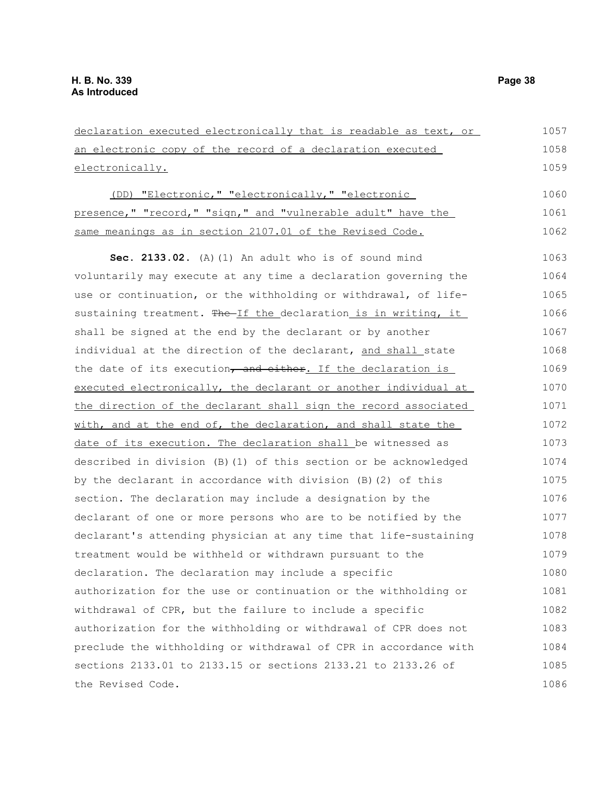declaration executed electronically that is readable as text, or an electronic copy of the record of a declaration executed electronically. (DD) "Electronic," "electronically," "electronic presence," "record," "sign," and "vulnerable adult" have the same meanings as in section 2107.01 of the Revised Code. **Sec. 2133.02.** (A)(1) An adult who is of sound mind voluntarily may execute at any time a declaration governing the use or continuation, or the withholding or withdrawal, of lifesustaining treatment. The If the declaration is in writing, it shall be signed at the end by the declarant or by another individual at the direction of the declarant, and shall state the date of its execution, and either. If the declaration is executed electronically, the declarant or another individual at the direction of the declarant shall sign the record associated with, and at the end of, the declaration, and shall state the date of its execution. The declaration shall be witnessed as described in division (B)(1) of this section or be acknowledged by the declarant in accordance with division (B)(2) of this section. The declaration may include a designation by the declarant of one or more persons who are to be notified by the declarant's attending physician at any time that life-sustaining treatment would be withheld or withdrawn pursuant to the declaration. The declaration may include a specific authorization for the use or continuation or the withholding or withdrawal of CPR, but the failure to include a specific authorization for the withholding or withdrawal of CPR does not preclude the withholding or withdrawal of CPR in accordance with sections 2133.01 to 2133.15 or sections 2133.21 to 2133.26 of the Revised Code. 1057 1058 1059 1060 1061 1062 1063 1064 1065 1066 1067 1068 1069 1070 1071 1072 1073 1074 1075 1076 1077 1078 1079 1080 1081 1082 1083 1084 1085 1086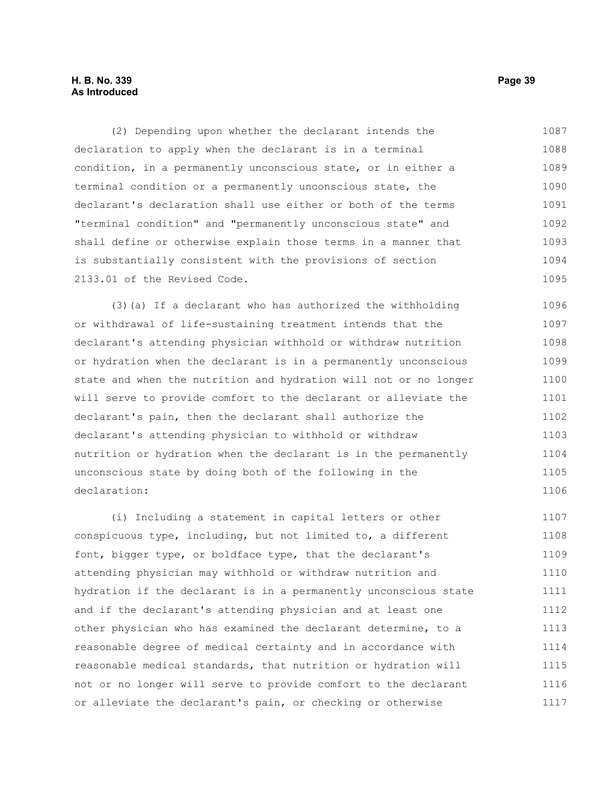### **H. B. No. 339 Page 39 As Introduced**

(2) Depending upon whether the declarant intends the declaration to apply when the declarant is in a terminal condition, in a permanently unconscious state, or in either a terminal condition or a permanently unconscious state, the declarant's declaration shall use either or both of the terms "terminal condition" and "permanently unconscious state" and shall define or otherwise explain those terms in a manner that is substantially consistent with the provisions of section 2133.01 of the Revised Code. 1087 1088 1089 1090 1091 1092 1093 1094 1095

(3)(a) If a declarant who has authorized the withholding or withdrawal of life-sustaining treatment intends that the declarant's attending physician withhold or withdraw nutrition or hydration when the declarant is in a permanently unconscious state and when the nutrition and hydration will not or no longer will serve to provide comfort to the declarant or alleviate the declarant's pain, then the declarant shall authorize the declarant's attending physician to withhold or withdraw nutrition or hydration when the declarant is in the permanently unconscious state by doing both of the following in the declaration: 1096 1097 1098 1099 1100 1101 1102 1103 1104 1105 1106

(i) Including a statement in capital letters or other conspicuous type, including, but not limited to, a different font, bigger type, or boldface type, that the declarant's attending physician may withhold or withdraw nutrition and hydration if the declarant is in a permanently unconscious state and if the declarant's attending physician and at least one other physician who has examined the declarant determine, to a reasonable degree of medical certainty and in accordance with reasonable medical standards, that nutrition or hydration will not or no longer will serve to provide comfort to the declarant or alleviate the declarant's pain, or checking or otherwise 1107 1108 1109 1110 1111 1112 1113 1114 1115 1116 1117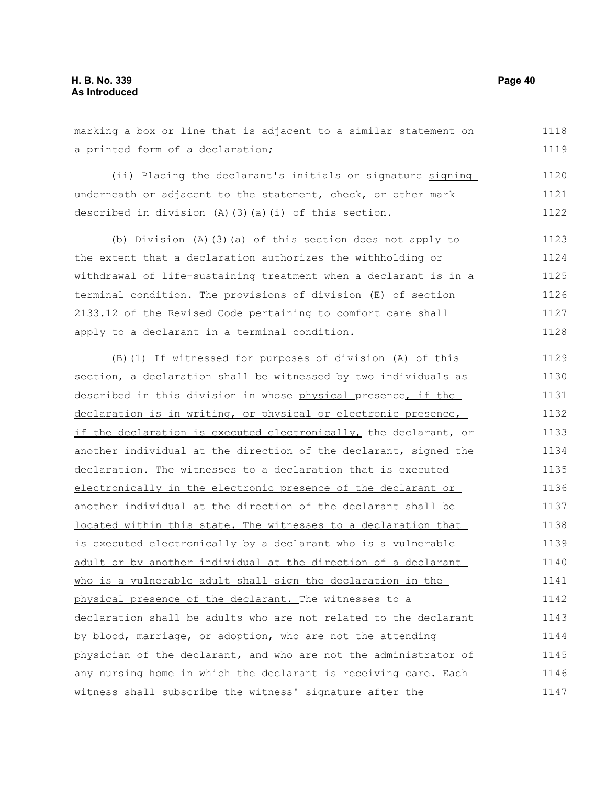marking a box or line that is adjacent to a similar statement on a printed form of a declaration; 1118 1119

(ii) Placing the declarant's initials or signature-signing underneath or adjacent to the statement, check, or other mark described in division (A)(3)(a)(i) of this section. 1120 1121 1122

(b) Division (A)(3)(a) of this section does not apply to the extent that a declaration authorizes the withholding or withdrawal of life-sustaining treatment when a declarant is in a terminal condition. The provisions of division (E) of section 2133.12 of the Revised Code pertaining to comfort care shall apply to a declarant in a terminal condition. 1123 1124 1125 1126 1127 1128

(B)(1) If witnessed for purposes of division (A) of this section, a declaration shall be witnessed by two individuals as described in this division in whose physical presence, if the declaration is in writing, or physical or electronic presence, if the declaration is executed electronically, the declarant, or another individual at the direction of the declarant, signed the declaration. The witnesses to a declaration that is executed electronically in the electronic presence of the declarant or another individual at the direction of the declarant shall be located within this state. The witnesses to a declaration that is executed electronically by a declarant who is a vulnerable adult or by another individual at the direction of a declarant who is a vulnerable adult shall sign the declaration in the physical presence of the declarant. The witnesses to a declaration shall be adults who are not related to the declarant by blood, marriage, or adoption, who are not the attending physician of the declarant, and who are not the administrator of any nursing home in which the declarant is receiving care. Each witness shall subscribe the witness' signature after the 1129 1130 1131 1132 1133 1134 1135 1136 1137 1138 1139 1140 1141 1142 1143 1144 1145 1146 1147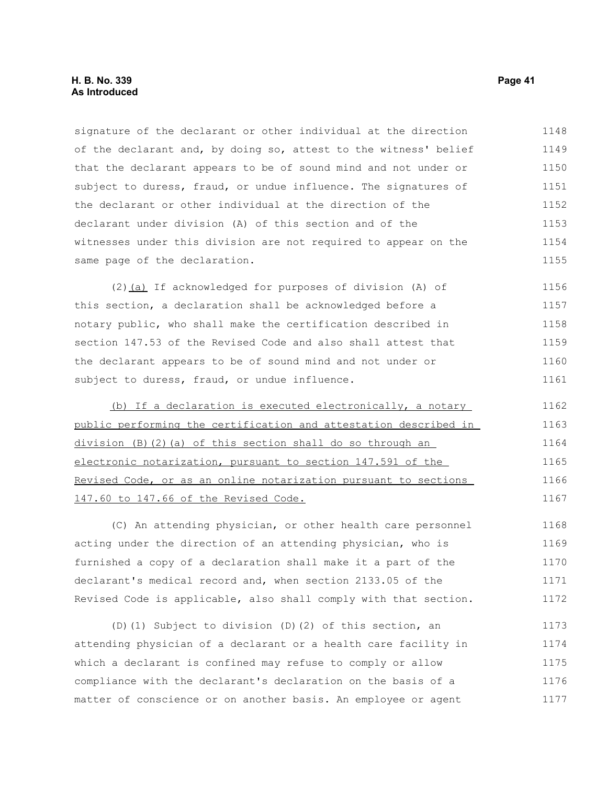### **H. B. No. 339 Page 41 As Introduced**

signature of the declarant or other individual at the direction of the declarant and, by doing so, attest to the witness' belief that the declarant appears to be of sound mind and not under or subject to duress, fraud, or undue influence. The signatures of the declarant or other individual at the direction of the declarant under division (A) of this section and of the witnesses under this division are not required to appear on the same page of the declaration. 1148 1149 1150 1151 1152 1153 1154 1155

(2)(a) If acknowledged for purposes of division (A) of this section, a declaration shall be acknowledged before a notary public, who shall make the certification described in section 147.53 of the Revised Code and also shall attest that the declarant appears to be of sound mind and not under or subject to duress, fraud, or undue influence. 1156 1157 1158 1159 1160 1161

(b) If a declaration is executed electronically, a notary public performing the certification and attestation described in division (B)(2)(a) of this section shall do so through an electronic notarization, pursuant to section 147.591 of the Revised Code, or as an online notarization pursuant to sections 147.60 to 147.66 of the Revised Code. 1162 1163 1164 1165 1166 1167

(C) An attending physician, or other health care personnel acting under the direction of an attending physician, who is furnished a copy of a declaration shall make it a part of the declarant's medical record and, when section 2133.05 of the Revised Code is applicable, also shall comply with that section. 1168 1169 1170 1171 1172

(D)(1) Subject to division (D)(2) of this section, an attending physician of a declarant or a health care facility in which a declarant is confined may refuse to comply or allow compliance with the declarant's declaration on the basis of a matter of conscience or on another basis. An employee or agent 1173 1174 1175 1176 1177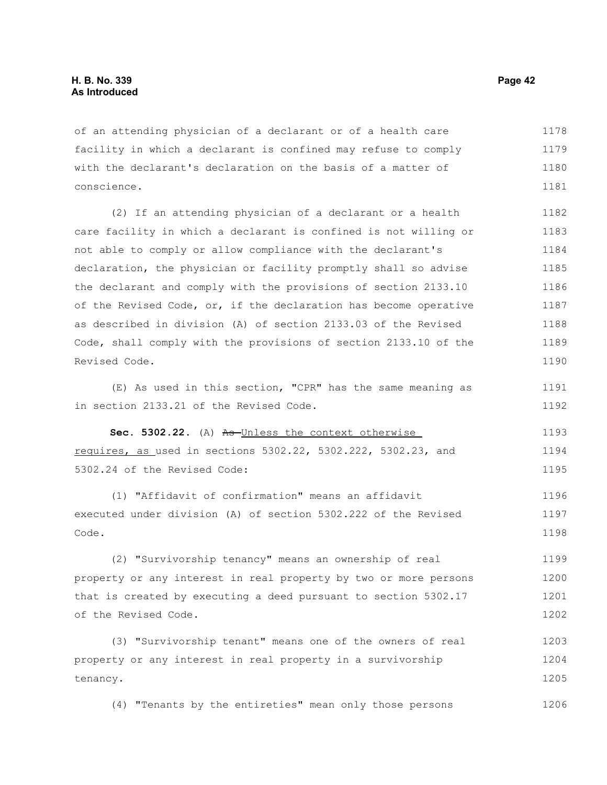of an attending physician of a declarant or of a health care facility in which a declarant is confined may refuse to comply with the declarant's declaration on the basis of a matter of conscience. 1178 1179 1180 1181

(2) If an attending physician of a declarant or a health care facility in which a declarant is confined is not willing or not able to comply or allow compliance with the declarant's declaration, the physician or facility promptly shall so advise the declarant and comply with the provisions of section 2133.10 of the Revised Code, or, if the declaration has become operative as described in division (A) of section 2133.03 of the Revised Code, shall comply with the provisions of section 2133.10 of the Revised Code. 1182 1183 1184 1185 1186 1187 1188 1189 1190

(E) As used in this section, "CPR" has the same meaning as in section 2133.21 of the Revised Code.

Sec. 5302.22. (A) As-Unless the context otherwise requires, as used in sections 5302.22, 5302.222, 5302.23, and 5302.24 of the Revised Code: 1193 1194 1195

(1) "Affidavit of confirmation" means an affidavit executed under division (A) of section 5302.222 of the Revised Code. 1196 1197 1198

(2) "Survivorship tenancy" means an ownership of real property or any interest in real property by two or more persons that is created by executing a deed pursuant to section 5302.17 of the Revised Code. 1199 1200 1201 1202

(3) "Survivorship tenant" means one of the owners of real property or any interest in real property in a survivorship tenancy. 1203 1204 1205

(4) "Tenants by the entireties" mean only those persons 1206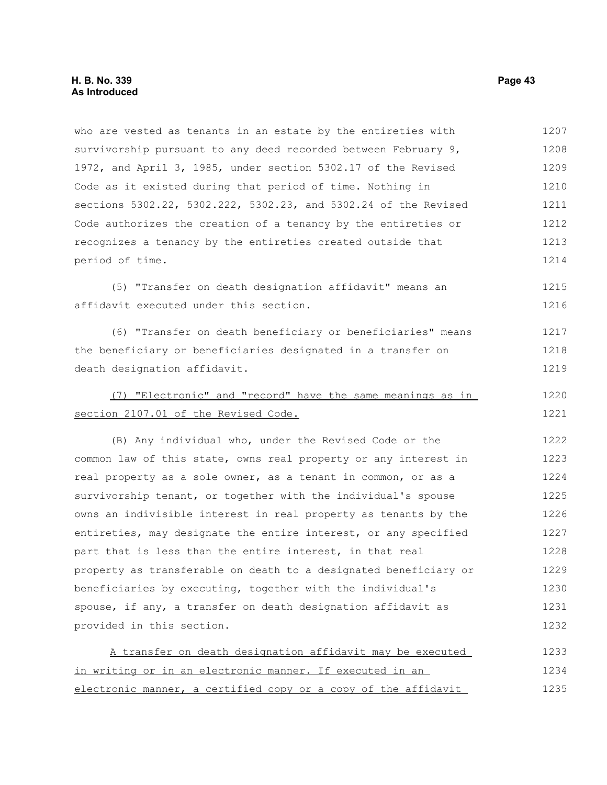who are vested as tenants in an estate by the entireties with survivorship pursuant to any deed recorded between February 9, 1972, and April 3, 1985, under section 5302.17 of the Revised Code as it existed during that period of time. Nothing in sections 5302.22, 5302.222, 5302.23, and 5302.24 of the Revised Code authorizes the creation of a tenancy by the entireties or recognizes a tenancy by the entireties created outside that period of time. (5) "Transfer on death designation affidavit" means an affidavit executed under this section. (6) "Transfer on death beneficiary or beneficiaries" means the beneficiary or beneficiaries designated in a transfer on death designation affidavit. (7) "Electronic" and "record" have the same meanings as in section 2107.01 of the Revised Code. 1207 1208 1209 1210 1211 1212 1213 1214 1215 1216 1217 1218 1219 1220 1221

(B) Any individual who, under the Revised Code or the common law of this state, owns real property or any interest in real property as a sole owner, as a tenant in common, or as a survivorship tenant, or together with the individual's spouse owns an indivisible interest in real property as tenants by the entireties, may designate the entire interest, or any specified part that is less than the entire interest, in that real property as transferable on death to a designated beneficiary or beneficiaries by executing, together with the individual's spouse, if any, a transfer on death designation affidavit as provided in this section. 1222 1223 1224 1225 1226 1227 1228 1229 1230 1231 1232

| A transfer on death designation affidavit may be executed      | 1233 |
|----------------------------------------------------------------|------|
| in writing or in an electronic manner. If executed in an       | 1234 |
| electronic manner, a certified copy or a copy of the affidavit | 1235 |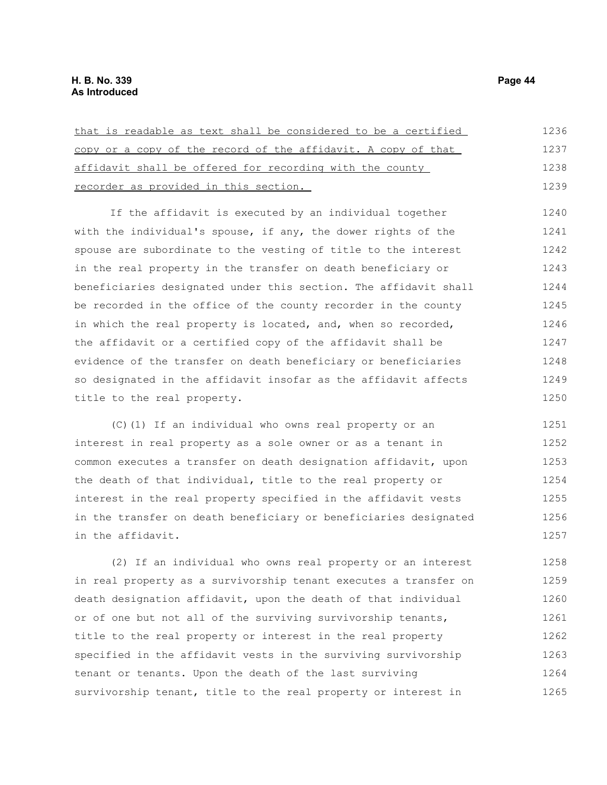| that is readable as text shall be considered to be a certified | 1236 |
|----------------------------------------------------------------|------|
| copy or a copy of the record of the affidavit. A copy of that  | 1237 |
| affidavit shall be offered for recording with the county       | 1238 |
| recorder as provided in this section.                          | 1239 |

If the affidavit is executed by an individual together with the individual's spouse, if any, the dower rights of the spouse are subordinate to the vesting of title to the interest in the real property in the transfer on death beneficiary or beneficiaries designated under this section. The affidavit shall be recorded in the office of the county recorder in the county in which the real property is located, and, when so recorded, the affidavit or a certified copy of the affidavit shall be evidence of the transfer on death beneficiary or beneficiaries so designated in the affidavit insofar as the affidavit affects title to the real property. 1240 1241 1242 1243 1244 1245 1246 1247 1248 1249 1250

(C)(1) If an individual who owns real property or an interest in real property as a sole owner or as a tenant in common executes a transfer on death designation affidavit, upon the death of that individual, title to the real property or interest in the real property specified in the affidavit vests in the transfer on death beneficiary or beneficiaries designated in the affidavit. 1251 1252 1253 1254 1255 1256 1257

(2) If an individual who owns real property or an interest in real property as a survivorship tenant executes a transfer on death designation affidavit, upon the death of that individual or of one but not all of the surviving survivorship tenants, title to the real property or interest in the real property specified in the affidavit vests in the surviving survivorship tenant or tenants. Upon the death of the last surviving survivorship tenant, title to the real property or interest in 1258 1259 1260 1261 1262 1263 1264 1265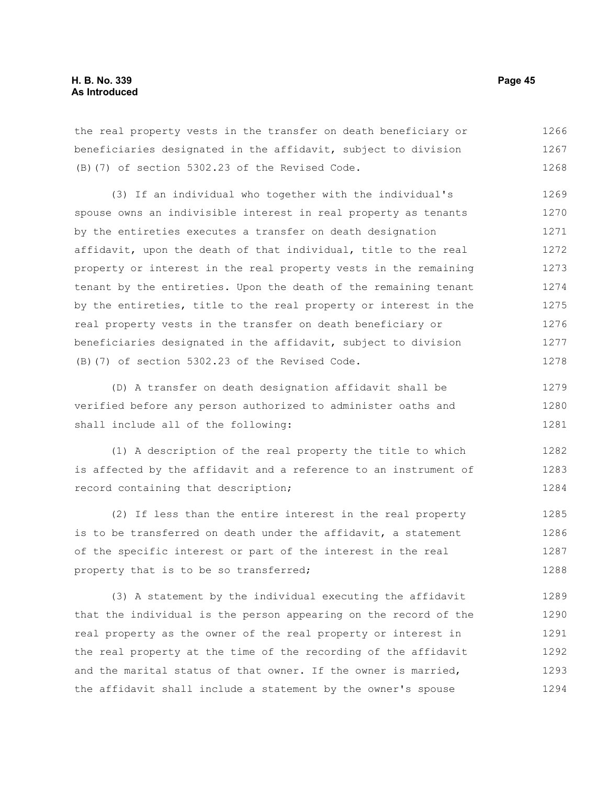the real property vests in the transfer on death beneficiary or beneficiaries designated in the affidavit, subject to division (B)(7) of section 5302.23 of the Revised Code. 1266 1267 1268

(3) If an individual who together with the individual's spouse owns an indivisible interest in real property as tenants by the entireties executes a transfer on death designation affidavit, upon the death of that individual, title to the real property or interest in the real property vests in the remaining tenant by the entireties. Upon the death of the remaining tenant by the entireties, title to the real property or interest in the real property vests in the transfer on death beneficiary or beneficiaries designated in the affidavit, subject to division (B)(7) of section 5302.23 of the Revised Code. 1269 1270 1271 1272 1273 1274 1275 1276 1277 1278

(D) A transfer on death designation affidavit shall be verified before any person authorized to administer oaths and shall include all of the following: 1279 1280 1281

(1) A description of the real property the title to which is affected by the affidavit and a reference to an instrument of record containing that description; 1282 1283 1284

(2) If less than the entire interest in the real property is to be transferred on death under the affidavit, a statement of the specific interest or part of the interest in the real property that is to be so transferred; 1285 1286 1287 1288

(3) A statement by the individual executing the affidavit that the individual is the person appearing on the record of the real property as the owner of the real property or interest in the real property at the time of the recording of the affidavit and the marital status of that owner. If the owner is married, the affidavit shall include a statement by the owner's spouse 1289 1290 1291 1292 1293 1294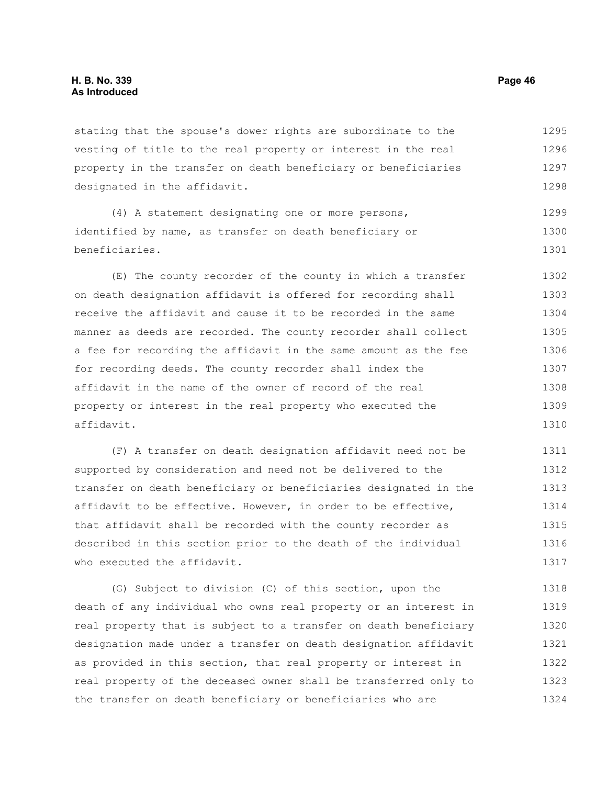stating that the spouse's dower rights are subordinate to the vesting of title to the real property or interest in the real property in the transfer on death beneficiary or beneficiaries designated in the affidavit. 1295 1296 1297 1298

(4) A statement designating one or more persons, identified by name, as transfer on death beneficiary or beneficiaries. 1299 1300 1301

(E) The county recorder of the county in which a transfer on death designation affidavit is offered for recording shall receive the affidavit and cause it to be recorded in the same manner as deeds are recorded. The county recorder shall collect a fee for recording the affidavit in the same amount as the fee for recording deeds. The county recorder shall index the affidavit in the name of the owner of record of the real property or interest in the real property who executed the affidavit. 1302 1303 1304 1305 1306 1307 1308 1309 1310

(F) A transfer on death designation affidavit need not be supported by consideration and need not be delivered to the transfer on death beneficiary or beneficiaries designated in the affidavit to be effective. However, in order to be effective, that affidavit shall be recorded with the county recorder as described in this section prior to the death of the individual who executed the affidavit. 1311 1312 1313 1314 1315 1316 1317

(G) Subject to division (C) of this section, upon the death of any individual who owns real property or an interest in real property that is subject to a transfer on death beneficiary designation made under a transfer on death designation affidavit as provided in this section, that real property or interest in real property of the deceased owner shall be transferred only to the transfer on death beneficiary or beneficiaries who are 1318 1319 1320 1321 1322 1323 1324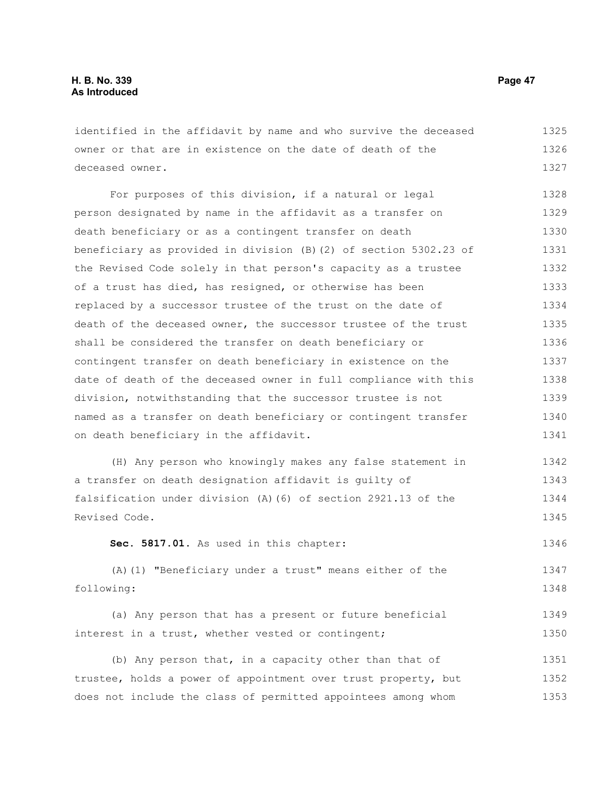identified in the affidavit by name and who survive the deceased owner or that are in existence on the date of death of the deceased owner. 1325 1326 1327

For purposes of this division, if a natural or legal person designated by name in the affidavit as a transfer on death beneficiary or as a contingent transfer on death beneficiary as provided in division (B)(2) of section 5302.23 of the Revised Code solely in that person's capacity as a trustee of a trust has died, has resigned, or otherwise has been replaced by a successor trustee of the trust on the date of death of the deceased owner, the successor trustee of the trust shall be considered the transfer on death beneficiary or contingent transfer on death beneficiary in existence on the date of death of the deceased owner in full compliance with this division, notwithstanding that the successor trustee is not named as a transfer on death beneficiary or contingent transfer on death beneficiary in the affidavit. 1328 1329 1330 1331 1332 1333 1334 1335 1336 1337 1338 1339 1340 1341

(H) Any person who knowingly makes any false statement in a transfer on death designation affidavit is guilty of falsification under division (A)(6) of section 2921.13 of the Revised Code. 1342 1343 1344 1345

**Sec. 5817.01.** As used in this chapter: 1346

(A)(1) "Beneficiary under a trust" means either of the following: 1347 1348

(a) Any person that has a present or future beneficial interest in a trust, whether vested or contingent; 1349 1350

(b) Any person that, in a capacity other than that of trustee, holds a power of appointment over trust property, but does not include the class of permitted appointees among whom 1351 1352 1353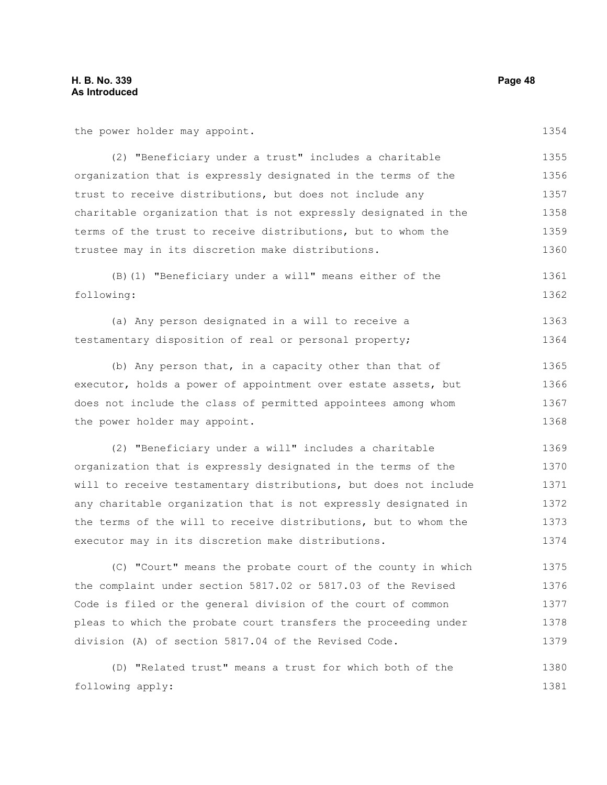the power holder may appoint.

1354

| (2) "Beneficiary under a trust" includes a charitable           | 1355 |
|-----------------------------------------------------------------|------|
| organization that is expressly designated in the terms of the   | 1356 |
| trust to receive distributions, but does not include any        | 1357 |
| charitable organization that is not expressly designated in the | 1358 |
| terms of the trust to receive distributions, but to whom the    | 1359 |
| trustee may in its discretion make distributions.               | 1360 |

(B)(1) "Beneficiary under a will" means either of the following: 1361 1362

(a) Any person designated in a will to receive a testamentary disposition of real or personal property; 1363 1364

(b) Any person that, in a capacity other than that of executor, holds a power of appointment over estate assets, but does not include the class of permitted appointees among whom the power holder may appoint. 1365 1366 1367 1368

(2) "Beneficiary under a will" includes a charitable organization that is expressly designated in the terms of the will to receive testamentary distributions, but does not include any charitable organization that is not expressly designated in the terms of the will to receive distributions, but to whom the executor may in its discretion make distributions. 1369 1370 1371 1372 1373 1374

(C) "Court" means the probate court of the county in which the complaint under section 5817.02 or 5817.03 of the Revised Code is filed or the general division of the court of common pleas to which the probate court transfers the proceeding under division (A) of section 5817.04 of the Revised Code. 1375 1376 1377 1378 1379

(D) "Related trust" means a trust for which both of the following apply: 1380 1381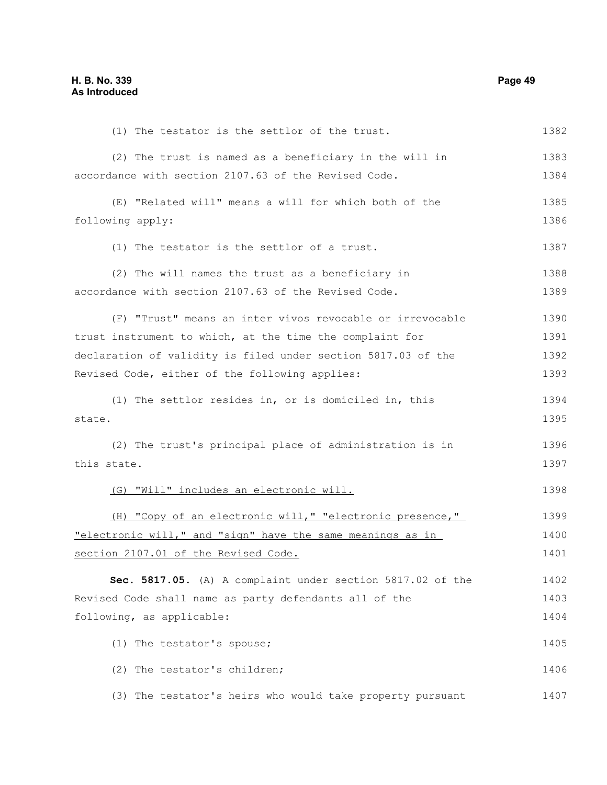(1) The testator is the settlor of the trust. (2) The trust is named as a beneficiary in the will in accordance with section 2107.63 of the Revised Code. (E) "Related will" means a will for which both of the following apply: (1) The testator is the settlor of a trust. (2) The will names the trust as a beneficiary in accordance with section 2107.63 of the Revised Code. (F) "Trust" means an inter vivos revocable or irrevocable trust instrument to which, at the time the complaint for declaration of validity is filed under section 5817.03 of the Revised Code, either of the following applies: (1) The settlor resides in, or is domiciled in, this state. (2) The trust's principal place of administration is in this state. (G) "Will" includes an electronic will. (H) "Copy of an electronic will," "electronic presence," "electronic will," and "sign" have the same meanings as in section 2107.01 of the Revised Code. **Sec. 5817.05.** (A) A complaint under section 5817.02 of the Revised Code shall name as party defendants all of the following, as applicable: (1) The testator's spouse; (2) The testator's children; (3) The testator's heirs who would take property pursuant 1382 1383 1384 1385 1386 1387 1388 1389 1390 1391 1392 1393 1394 1395 1396 1397 1398 1399 1400 1401 1402 1403 1404 1405 1406 1407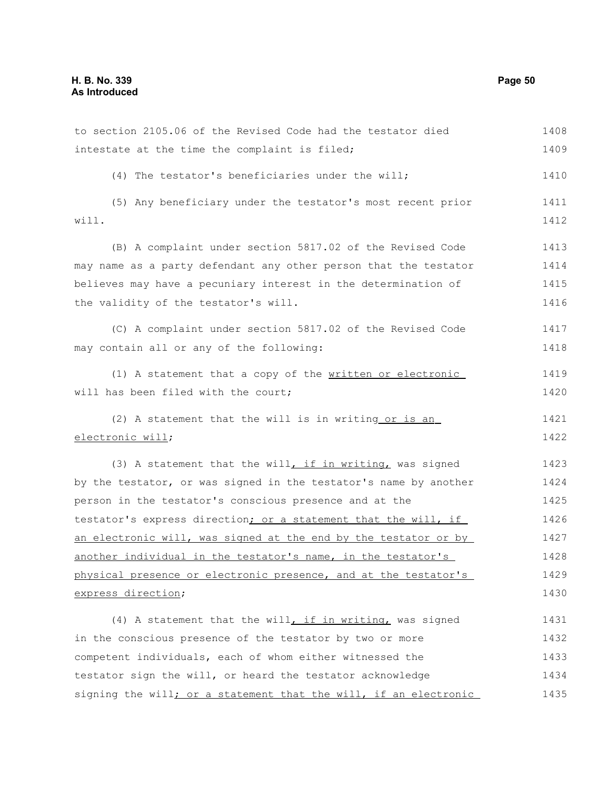| to section 2105.06 of the Revised Code had the testator died     | 1408 |
|------------------------------------------------------------------|------|
| intestate at the time the complaint is filed;                    | 1409 |
| (4) The testator's beneficiaries under the will;                 | 1410 |
| (5) Any beneficiary under the testator's most recent prior       | 1411 |
| will.                                                            | 1412 |
| (B) A complaint under section 5817.02 of the Revised Code        | 1413 |
| may name as a party defendant any other person that the testator | 1414 |
| believes may have a pecuniary interest in the determination of   | 1415 |
| the validity of the testator's will.                             | 1416 |
| (C) A complaint under section 5817.02 of the Revised Code        | 1417 |
| may contain all or any of the following:                         | 1418 |
| (1) A statement that a copy of the written or electronic         | 1419 |
| will has been filed with the court;                              | 1420 |
| (2) A statement that the will is in writing or is an             | 1421 |
| electronic will;                                                 | 1422 |
| (3) A statement that the will, if in writing, was signed         | 1423 |
| by the testator, or was signed in the testator's name by another | 1424 |
| person in the testator's conscious presence and at the           | 1425 |
| testator's express direction; or a statement that the will, if   | 1426 |
| an electronic will, was signed at the end by the testator or by  | 1427 |
| another individual in the testator's name, in the testator's     | 1428 |
| physical presence or electronic presence, and at the testator's  | 1429 |
| express direction;                                               | 1430 |
| (4) A statement that the will, if in writing, was signed         | 1431 |
| in the conscious presence of the testator by two or more         | 1432 |
| competent individuals, each of whom either witnessed the         | 1433 |
| testator sign the will, or heard the testator acknowledge        | 1434 |
| signing the will; or a statement that the will, if an electronic | 1435 |